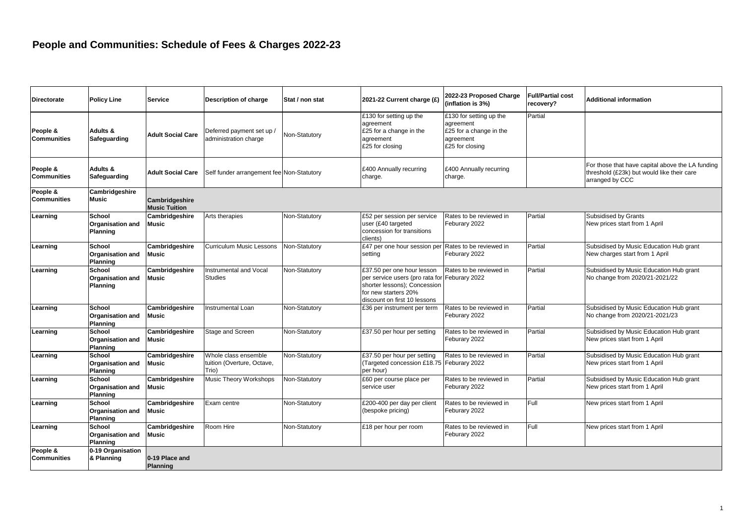| <b>Directorate</b>             | <b>Policy Line</b>                                   | <b>Service</b>                         | Description of charge                                       | Stat / non stat | 2021-22 Current charge (£)                                                                                                                                          | 2022-23 Proposed Charge<br>(inflation is 3%)                                                    | <b>Full/Partial cost</b><br>recovery? | <b>Additional information</b>                                                                                     |
|--------------------------------|------------------------------------------------------|----------------------------------------|-------------------------------------------------------------|-----------------|---------------------------------------------------------------------------------------------------------------------------------------------------------------------|-------------------------------------------------------------------------------------------------|---------------------------------------|-------------------------------------------------------------------------------------------------------------------|
| People &<br><b>Communities</b> | Adults &<br>Safeguarding                             | <b>Adult Social Care</b>               | Deferred payment set up /<br>administration charge          | Non-Statutory   | £130 for setting up the<br>agreement<br>£25 for a change in the<br>agreement<br>£25 for closing                                                                     | £130 for setting up the<br>agreement<br>£25 for a change in the<br>agreement<br>£25 for closing | Partial                               |                                                                                                                   |
| People &<br><b>Communities</b> | Adults &<br>Safeguarding                             | <b>Adult Social Care</b>               | Self funder arrangement fee Non-Statutory                   |                 | £400 Annually recurring<br>charge.                                                                                                                                  | £400 Annually recurring<br>charge.                                                              |                                       | For those that have capital above the LA funding<br>threshold (£23k) but would like their care<br>arranged by CCC |
| People &<br><b>Communities</b> | Cambridgeshire<br><b>Music</b>                       | Cambridgeshire<br><b>Music Tuition</b> |                                                             |                 |                                                                                                                                                                     |                                                                                                 |                                       |                                                                                                                   |
| Learning                       | School<br><b>Organisation and</b><br><b>Planning</b> | Cambridgeshire<br>Music                | Arts therapies                                              | Non-Statutory   | £52 per session per service<br>user (£40 targeted<br>concession for transitions<br>clients)                                                                         | Rates to be reviewed in<br>Feburary 2022                                                        | Partial                               | Subsidised by Grants<br>New prices start from 1 April                                                             |
| Learning                       | School<br><b>Organisation and</b><br>Planning        | Cambridgeshire<br><b>Music</b>         | Curriculum Music Lessons                                    | Non-Statutory   | £47 per one hour session pe<br>setting                                                                                                                              | Rates to be reviewed in<br>Feburary 2022                                                        | Partial                               | Subsidised by Music Education Hub grant<br>New charges start from 1 April                                         |
| Learning                       | School<br><b>Organisation and</b><br>Planning        | Cambridgeshire<br>Music                | Instrumental and Vocal<br><b>Studies</b>                    | Non-Statutory   | £37.50 per one hour lesson<br>per service users (pro rata for Feburary 2022<br>shorter lessons); Concession<br>for new starters 20%<br>discount on first 10 lessons | Rates to be reviewed in                                                                         | Partial                               | Subsidised by Music Education Hub grant<br>No change from 2020/21-2021/22                                         |
| Learning                       | School<br><b>Organisation and</b><br>Planning        | Cambridgeshire<br><b>Music</b>         | Instrumental Loan                                           | Non-Statutory   | £36 per instrument per term                                                                                                                                         | Rates to be reviewed in<br>Feburary 2022                                                        | Partial                               | Subsidised by Music Education Hub grant<br>No change from 2020/21-2021/23                                         |
| Learning                       | School<br><b>Organisation and</b><br>Planning        | Cambridgeshire<br><b>Music</b>         | Stage and Screen                                            | Non-Statutory   | £37.50 per hour per setting                                                                                                                                         | Rates to be reviewed in<br>Feburary 2022                                                        | Partial                               | Subsidised by Music Education Hub grant<br>New prices start from 1 April                                          |
| Learning                       | School<br><b>Organisation and</b><br>Planning        | Cambridgeshire<br><b>Music</b>         | Whole class ensemble<br>tuition (Overture, Octave,<br>Trio) | Non-Statutory   | £37.50 per hour per setting<br>(Targeted concession £18.75 Feburary 2022<br>per hour)                                                                               | Rates to be reviewed in                                                                         | Partial                               | Subsidised by Music Education Hub grant<br>New prices start from 1 April                                          |
| Learning                       | School<br><b>Organisation and</b><br>Planning        | Cambridgeshire<br>Music                | Music Theory Workshops                                      | Non-Statutory   | £60 per course place per<br>service user                                                                                                                            | Rates to be reviewed in<br>Feburary 2022                                                        | Partial                               | Subsidised by Music Education Hub grant<br>New prices start from 1 April                                          |
| Learning                       | School<br>Organisation and<br>Planning               | Cambridgeshire<br><b>Music</b>         | Exam centre                                                 | Non-Statutory   | £200-400 per day per client<br>(bespoke pricing)                                                                                                                    | Rates to be reviewed in<br>Feburary 2022                                                        | Full                                  | New prices start from 1 April                                                                                     |
| Learning                       | School<br><b>Organisation and</b><br>Planning        | Cambridgeshire<br><b>Music</b>         | Room Hire                                                   | Non-Statutory   | £18 per hour per room                                                                                                                                               | Rates to be reviewed in<br>Feburary 2022                                                        | Full                                  | New prices start from 1 April                                                                                     |
| People &<br><b>Communities</b> | 0-19 Organisation<br>& Planning                      | 0-19 Place and<br>Planning             |                                                             |                 |                                                                                                                                                                     |                                                                                                 |                                       |                                                                                                                   |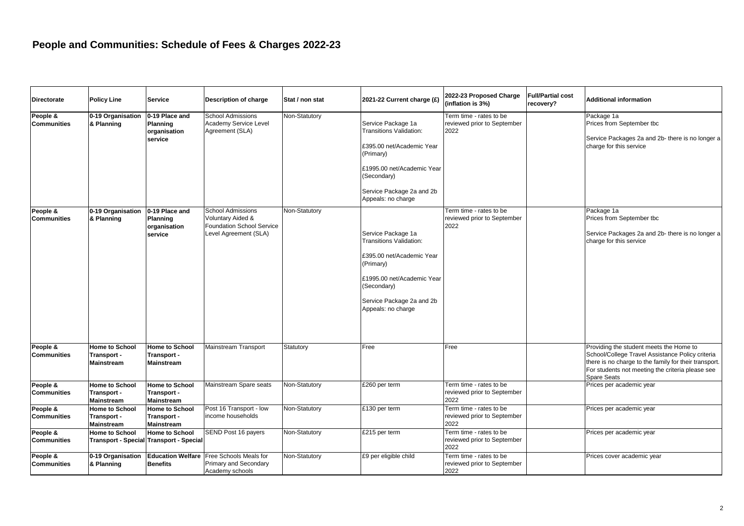| <b>Directorate</b>             | <b>Policy Line</b>                                        | <b>Service</b>                                                          | Description of charge                                                                               | Stat / non stat | 2021-22 Current charge (£)                                                                                                                                                                     | 2022-23 Proposed Charge<br>(inflation is 3%)                   | <b>Full/Partial cost</b><br>recovery? | Additional information                                                                                                                                                                                                         |
|--------------------------------|-----------------------------------------------------------|-------------------------------------------------------------------------|-----------------------------------------------------------------------------------------------------|-----------------|------------------------------------------------------------------------------------------------------------------------------------------------------------------------------------------------|----------------------------------------------------------------|---------------------------------------|--------------------------------------------------------------------------------------------------------------------------------------------------------------------------------------------------------------------------------|
| People &<br><b>Communities</b> | 0-19 Organisation<br>& Planning                           | 0-19 Place and<br>Planning<br>organisation<br>service                   | <b>School Admissions</b><br>Academy Service Level<br>Agreement (SLA)                                | Non-Statutory   | Service Package 1a<br><b>Transitions Validation:</b><br>£395.00 net/Academic Year<br>(Primary)<br>£1995.00 net/Academic Year<br>(Secondary)<br>Service Package 2a and 2b<br>Appeals: no charge | Term time - rates to be<br>reviewed prior to September<br>2022 |                                       | Package 1a<br>Prices from September tbc<br>Service Packages 2a and 2b- there is no longer a<br>charge for this service                                                                                                         |
| People &<br><b>Communities</b> | 0-19 Organisation<br>& Planning                           | 0-19 Place and<br>Planning<br>organisation<br>service                   | <b>School Admissions</b><br>Voluntary Aided &<br>Foundation School Service<br>Level Agreement (SLA) | Non-Statutory   | Service Package 1a<br><b>Transitions Validation:</b><br>£395.00 net/Academic Year<br>(Primary)<br>£1995.00 net/Academic Year<br>(Secondary)<br>Service Package 2a and 2b<br>Appeals: no charge | Term time - rates to be<br>reviewed prior to September<br>2022 |                                       | Package 1a<br>Prices from September tbc<br>Service Packages 2a and 2b- there is no longer a<br>charge for this service                                                                                                         |
| People &<br><b>Communities</b> | Home to School<br>Transport -<br><b>Mainstream</b>        | <b>Home to School</b><br>Transport -<br><b>Mainstream</b>               | Mainstream Transport                                                                                | Statutory       | Free                                                                                                                                                                                           | Free                                                           |                                       | Providing the student meets the Home to<br>School/College Travel Assistance Policy criteria<br>there is no charge to the family for their transport.<br>For students not meeting the criteria please see<br><b>Spare Seats</b> |
| People &<br><b>Communities</b> | <b>Home to School</b><br>Transport -<br><b>Mainstream</b> | <b>Home to School</b><br>Transport -<br><b>Mainstream</b>               | Mainstream Spare seats                                                                              | Non-Statutory   | £260 per term                                                                                                                                                                                  | Term time - rates to be<br>reviewed prior to September<br>2022 |                                       | Prices per academic year                                                                                                                                                                                                       |
| People &<br><b>Communities</b> | Home to School<br>Transport -<br><b>Mainstream</b>        | Home to School<br>Transport -<br><b>Mainstream</b>                      | Post 16 Transport - low<br>income households                                                        | Non-Statutory   | £130 per term                                                                                                                                                                                  | Term time - rates to be<br>reviewed prior to September<br>2022 |                                       | Prices per academic year                                                                                                                                                                                                       |
| People &<br><b>Communities</b> | <b>Home to School</b>                                     | <b>Home to School</b><br><b>Transport - Special Transport - Special</b> | SEND Post 16 payers                                                                                 | Non-Statutory   | £215 per term                                                                                                                                                                                  | Term time - rates to be<br>reviewed prior to September<br>2022 |                                       | Prices per academic year                                                                                                                                                                                                       |
| People &<br><b>Communities</b> | 0-19 Organisation<br>& Planning                           | <b>Benefits</b>                                                         | Education Welfare Free Schools Meals for<br>Primary and Secondary<br>Academy schools                | Non-Statutory   | £9 per eligible child                                                                                                                                                                          | Term time - rates to be<br>reviewed prior to September<br>2022 |                                       | Prices cover academic year                                                                                                                                                                                                     |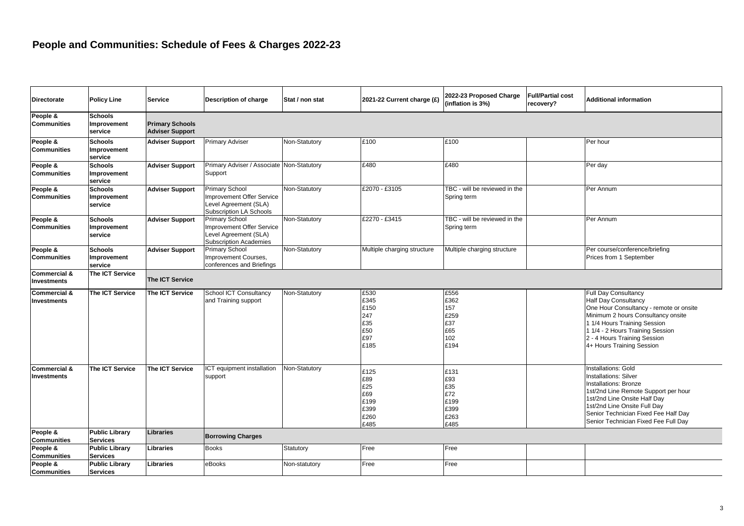| <b>Directorate</b>                            | <b>Policy Line</b>                       | <b>Service</b>                                   | Description of charge                                                                                         | Stat / non stat | 2021-22 Current charge (£)                                | 2022-23 Proposed Charge<br>(inflation is 3%)              | <b>Full/Partial cost</b><br>recovery? | <b>Additional information</b>                                                                                                                                                                                                                                                |  |  |  |
|-----------------------------------------------|------------------------------------------|--------------------------------------------------|---------------------------------------------------------------------------------------------------------------|-----------------|-----------------------------------------------------------|-----------------------------------------------------------|---------------------------------------|------------------------------------------------------------------------------------------------------------------------------------------------------------------------------------------------------------------------------------------------------------------------------|--|--|--|
| People &<br><b>Communities</b>                | <b>Schools</b><br>Improvement<br>service | <b>Primary Schools</b><br><b>Adviser Support</b> |                                                                                                               |                 |                                                           |                                                           |                                       |                                                                                                                                                                                                                                                                              |  |  |  |
| People &<br><b>Communities</b>                | <b>Schools</b><br>Improvement<br>service | <b>Adviser Support</b>                           | Primary Adviser                                                                                               | Non-Statutory   | £100                                                      | £100                                                      |                                       | Per hour                                                                                                                                                                                                                                                                     |  |  |  |
| People &<br><b>Communities</b>                | <b>Schools</b><br>Improvement<br>service | <b>Adviser Support</b>                           | Primary Adviser / Associate Non-Statutory<br>Support                                                          |                 | £480                                                      | £480                                                      |                                       | Per day                                                                                                                                                                                                                                                                      |  |  |  |
| People &<br><b>Communities</b>                | <b>Schools</b><br>Improvement<br>service | <b>Adviser Support</b>                           | <b>Primary School</b><br>Improvement Offer Service<br>Level Agreement (SLA)<br><b>Subscription LA Schools</b> | Non-Statutory   | £2070 - £3105                                             | TBC - will be reviewed in the<br>Spring term              |                                       | Per Annum                                                                                                                                                                                                                                                                    |  |  |  |
| People &<br><b>Communities</b>                | <b>Schools</b><br>Improvement<br>service | <b>Adviser Support</b>                           | <b>Primary School</b><br>Improvement Offer Service<br>Level Agreement (SLA)<br><b>Subscription Academies</b>  | Non-Statutory   | £2270 - £3415                                             | TBC - will be reviewed in the<br>Spring term              |                                       | Per Annum                                                                                                                                                                                                                                                                    |  |  |  |
| People &<br><b>Communities</b>                | <b>Schools</b><br>Improvement<br>service | <b>Adviser Support</b>                           | <b>Primary School</b><br>Improvement Courses,<br>conferences and Briefings                                    | Non-Statutory   | Multiple charging structure                               | Multiple charging structure                               |                                       | Per course/conference/briefing<br>Prices from 1 September                                                                                                                                                                                                                    |  |  |  |
| <b>Commercial &amp;</b><br>Investments        | The ICT Service                          | <b>The ICT Service</b>                           |                                                                                                               |                 |                                                           |                                                           |                                       |                                                                                                                                                                                                                                                                              |  |  |  |
| <b>Commercial &amp;</b><br><b>Investments</b> | The ICT Service                          | The ICT Service                                  | <b>School ICT Consultancy</b><br>and Training support                                                         | Non-Statutory   | £530<br>£345<br>£150<br>247<br>£35<br>£50<br>£97<br>£185  | £556<br>£362<br>157<br>£259<br>£37<br>£65<br>102<br>£194  |                                       | <b>Full Day Consultancy</b><br><b>Half Day Consultancy</b><br>One Hour Consultancy - remote or onsite<br>Minimum 2 hours Consultancy onsite<br>1 1/4 Hours Training Session<br>1 1/4 - 2 Hours Training Session<br>2 - 4 Hours Training Session<br>4+ Hours Training Session |  |  |  |
| <b>Commercial &amp;</b><br>Investments        | The ICT Service                          | The ICT Service                                  | ICT equipment installation<br>support                                                                         | Non-Statutory   | £125<br>£89<br>£25<br>£69<br>£199<br>£399<br>£260<br>£485 | £131<br>£93<br>£35<br>£72<br>£199<br>£399<br>£263<br>£485 |                                       | Installations: Gold<br><b>Installations: Silver</b><br><b>Installations: Bronze</b><br>1st/2nd Line Remote Support per hour<br>1st/2nd Line Onsite Half Day<br>1st/2nd Line Onsite Full Day<br>Senior Technician Fixed Fee Half Day<br>Senior Technician Fixed Fee Full Day  |  |  |  |
| People &<br><b>Communities</b>                | <b>Public Library</b><br><b>Services</b> | <b>Libraries</b>                                 | <b>Borrowing Charges</b>                                                                                      |                 |                                                           |                                                           |                                       |                                                                                                                                                                                                                                                                              |  |  |  |
| People &<br><b>Communities</b>                | <b>Public Library</b><br><b>Services</b> | Libraries                                        | Books                                                                                                         | Statutory       | Free                                                      | Free                                                      |                                       |                                                                                                                                                                                                                                                                              |  |  |  |
| People &<br><b>Communities</b>                | <b>Public Library</b><br><b>Services</b> | Libraries                                        | eBooks                                                                                                        | Non-statutory   | Free                                                      | Free                                                      |                                       |                                                                                                                                                                                                                                                                              |  |  |  |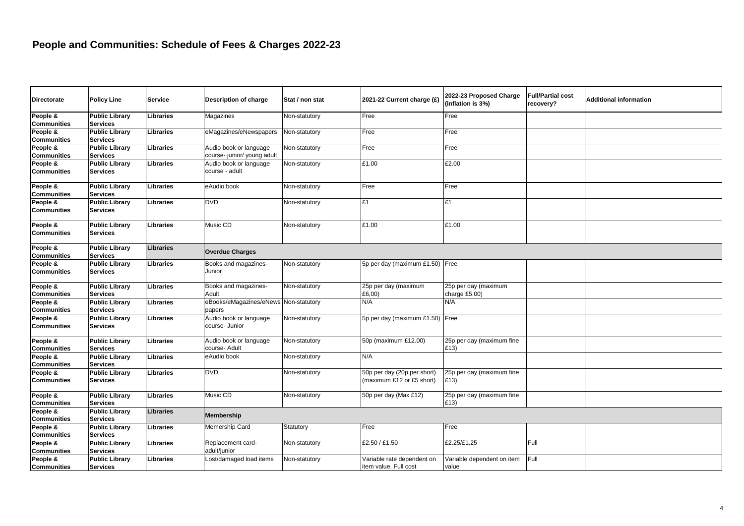| <b>Directorate</b>                                   | <b>Policy Line</b>                       | <b>Service</b>   | Description of charge                                | Stat / non stat | 2021-22 Current charge (£)                               | 2022-23 Proposed Charge<br>(inflation is 3%) | <b>Full/Partial cost</b><br>recovery? | <b>Additional information</b> |
|------------------------------------------------------|------------------------------------------|------------------|------------------------------------------------------|-----------------|----------------------------------------------------------|----------------------------------------------|---------------------------------------|-------------------------------|
| People &<br><b>Communities</b>                       | <b>Public Library</b><br><b>Services</b> | Libraries        | Magazines                                            | Non-statutory   | Free                                                     | Free                                         |                                       |                               |
| People &<br><b>Communities</b>                       | <b>Public Library</b><br><b>Services</b> | Libraries        | eMagazines/eNewspapers                               | Non-statutory   | Free                                                     | Free                                         |                                       |                               |
| People &<br><b>Communities</b>                       | <b>Public Library</b><br><b>Services</b> | Libraries        | Audio book or language<br>course-junior/ young adult | Non-statutory   | Free                                                     | Free                                         |                                       |                               |
| People &<br><b>Communities</b>                       | <b>Public Library</b><br><b>Services</b> | Libraries        | Audio book or language<br>course - adult             | Non-statutory   | £1.00                                                    | £2.00                                        |                                       |                               |
| People &<br><b>Communities</b>                       | <b>Public Library</b><br><b>Services</b> | Libraries        | eAudio book                                          | Non-statutory   | Free                                                     | Free                                         |                                       |                               |
| People &<br><b>Communities</b>                       | <b>Public Library</b><br><b>Services</b> | Libraries        | <b>DVD</b>                                           | Non-statutory   | £1                                                       | £1                                           |                                       |                               |
| People &<br><b>Communities</b>                       | <b>Public Library</b><br><b>Services</b> | Libraries        | Music CD                                             | Non-statutory   | £1.00                                                    | £1.00                                        |                                       |                               |
| People &<br><b>Communities</b>                       | <b>Public Library</b><br><b>Services</b> | Libraries        | <b>Overdue Charges</b>                               |                 |                                                          |                                              |                                       |                               |
| People &<br><b>Communities</b>                       | <b>Public Library</b><br><b>Services</b> | Libraries        | Books and magazines-<br>Junior                       | Non-statutory   | 5p per day (maximum £1.50) Free                          |                                              |                                       |                               |
| People &<br><b>Communities</b>                       | <b>Public Library</b><br><b>Services</b> | Libraries        | Books and magazines-<br>Adult                        | Non-statutory   | 25p per day (maximum<br>£6,00)                           | 25p per day (maximum<br>charge £5.00)        |                                       |                               |
| People &<br><b>Communities</b>                       | <b>Public Library</b><br><b>Services</b> | Libraries        | eBooks/eMagazines/eNews Non-statutory<br>papers      |                 | N/A                                                      | N/A                                          |                                       |                               |
| People $\overline{\mathbf{g}}$<br><b>Communities</b> | <b>Public Library</b><br><b>Services</b> | Libraries        | Audio book or language<br>course- Junior             | Non-statutory   | 5p per day (maximum £1.50) Free                          |                                              |                                       |                               |
| People &<br><b>Communities</b>                       | <b>Public Library</b><br><b>Services</b> | Libraries        | Audio book or language<br>course- Adult              | Non-statutory   | 50p (maximum £12.00)                                     | 25p per day (maximum fine<br>£13)            |                                       |                               |
| People &<br><b>Communities</b>                       | <b>Public Library</b><br><b>Services</b> | Libraries        | eAudio book                                          | Non-statutory   | N/A                                                      |                                              |                                       |                               |
| People &<br><b>Communities</b>                       | <b>Public Library</b><br><b>Services</b> | Libraries        | <b>DVD</b>                                           | Non-statutory   | 50p per day (20p per short)<br>(maximum £12 or £5 short) | 25p per day (maximum fine<br>£13)            |                                       |                               |
| People &<br><b>Communities</b>                       | <b>Public Library</b><br><b>Services</b> | Libraries        | Music CD                                             | Non-statutory   | 50p per day (Max £12)                                    | 25p per day (maximum fine<br>£13)            |                                       |                               |
| People &<br><b>Communities</b>                       | <b>Public Library</b><br><b>Services</b> | <b>Libraries</b> | Membership                                           |                 |                                                          |                                              |                                       |                               |
| People &<br><b>Communities</b>                       | <b>Public Library</b><br><b>Services</b> | Libraries        | Memership Card                                       | Statutory       | Free                                                     | Free                                         |                                       |                               |
| People &<br><b>Communities</b>                       | <b>Public Library</b><br><b>Services</b> | Libraries        | Replacement card-<br>adult/junior                    | Non-statutory   | £2.50 / £1.50                                            | £2.25/£1.25                                  | Full                                  |                               |
| People &<br><b>Communities</b>                       | <b>Public Library</b><br><b>Services</b> | Libraries        | Lost/damaged load items                              | Non-statutory   | Variable rate dependent on<br>item value. Full cost      | Variable dependent on item<br>value          | Full                                  |                               |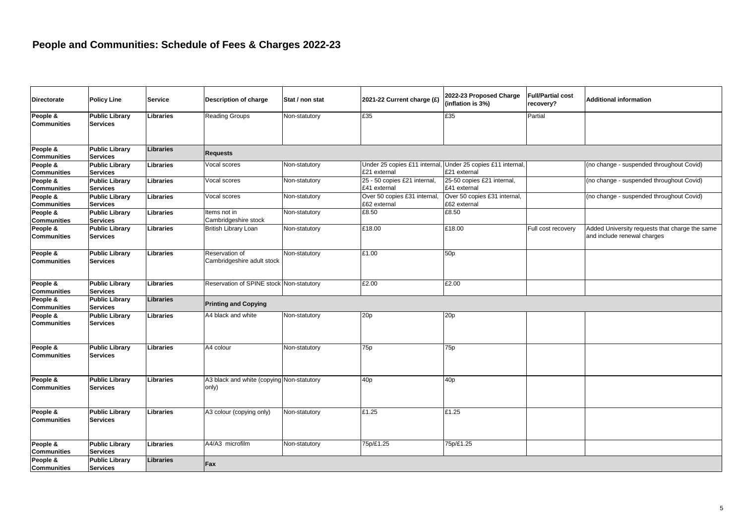| <b>Directorate</b>             | <b>Policy Line</b>                       | <b>Service</b>   | <b>Description of charge</b>                       | Stat / non stat | 2021-22 Current charge (£)                   | 2022-23 Proposed Charge<br>(inflation is 3%)  | <b>Full/Partial cost</b><br>recovery? | <b>Additional information</b>                                                 |
|--------------------------------|------------------------------------------|------------------|----------------------------------------------------|-----------------|----------------------------------------------|-----------------------------------------------|---------------------------------------|-------------------------------------------------------------------------------|
| People &<br><b>Communities</b> | <b>Public Library</b><br><b>Services</b> | Libraries        | <b>Reading Groups</b>                              | Non-statutory   | £35                                          | £35                                           | Partial                               |                                                                               |
| People &<br><b>Communities</b> | <b>Public Library</b><br><b>Services</b> | <b>Libraries</b> | <b>Requests</b>                                    |                 |                                              |                                               |                                       |                                                                               |
| People &<br><b>Communities</b> | <b>Public Library</b><br><b>Services</b> | Libraries        | Vocal scores                                       | Non-statutory   | Under 25 copies £11 internal<br>£21 external | Under 25 copies £11 internal.<br>£21 external |                                       | (no change - suspended throughout Covid)                                      |
| People &<br><b>Communities</b> | <b>Public Library</b><br><b>Services</b> | Libraries        | Vocal scores                                       | Non-statutory   | 25 - 50 copies £21 internal,<br>£41 external | 25-50 copies £21 internal,<br>£41 external    |                                       | (no change - suspended throughout Covid)                                      |
| People &<br><b>Communities</b> | <b>Public Library</b><br><b>Services</b> | <b>Libraries</b> | Vocal scores                                       | Non-statutory   | Over 50 copies £31 internal<br>£62 external  | Over 50 copies £31 internal,<br>£62 external  |                                       | (no change - suspended throughout Covid)                                      |
| People &<br><b>Communities</b> | <b>Public Library</b><br><b>Services</b> | Libraries        | Items not in<br>Cambridgeshire stock               | Non-statutory   | £8.50                                        | £8.50                                         |                                       |                                                                               |
| People &<br><b>Communities</b> | <b>Public Library</b><br><b>Services</b> | Libraries        | British Library Loan                               | Non-statutory   | £18.00                                       | £18.00                                        | Full cost recovery                    | Added University requests that charge the same<br>and include renewal charges |
| People &<br>Communities        | <b>Public Library</b><br><b>Services</b> | Libraries        | Reservation of<br>Cambridgeshire adult stock       | Non-statutory   | £1.00                                        | 50 <sub>p</sub>                               |                                       |                                                                               |
| People &<br><b>Communities</b> | <b>Public Library</b><br><b>Services</b> | <b>Libraries</b> | Reservation of SPINE stock Non-statutory           |                 | £2.00                                        | £2.00                                         |                                       |                                                                               |
| People &<br><b>Communities</b> | <b>Public Library</b><br><b>Services</b> | <b>Libraries</b> | <b>Printing and Copying</b>                        |                 |                                              |                                               |                                       |                                                                               |
| People &<br><b>Communities</b> | <b>Public Library</b><br><b>Services</b> | Libraries        | A4 black and white                                 | Non-statutory   | 20p                                          | 20p                                           |                                       |                                                                               |
| People &<br><b>Communities</b> | <b>Public Library</b><br><b>Services</b> | Libraries        | A4 colour                                          | Non-statutory   | 75 <sub>p</sub>                              | 75p                                           |                                       |                                                                               |
| People &<br><b>Communities</b> | <b>Public Library</b><br><b>Services</b> | Libraries        | A3 black and white (copying Non-statutory<br>only) |                 | 40 <sub>p</sub>                              | 40 <sub>p</sub>                               |                                       |                                                                               |
| People &<br><b>Communities</b> | <b>Public Library</b><br><b>Services</b> | Libraries        | A3 colour (copying only)                           | Non-statutory   | £1.25                                        | £1.25                                         |                                       |                                                                               |
| People &<br><b>Communities</b> | <b>Public Library</b><br><b>Services</b> | Libraries        | A4/A3 microfilm                                    | Non-statutory   | 75p/£1.25                                    | 75p/£1.25                                     |                                       |                                                                               |
| People &<br><b>Communities</b> | <b>Public Library</b><br><b>Services</b> | <b>Libraries</b> | Fax                                                |                 |                                              |                                               |                                       |                                                                               |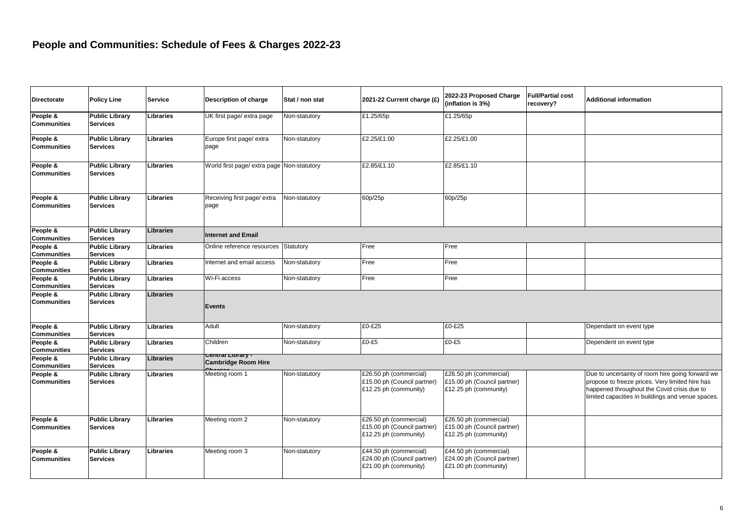| <b>Directorate</b>             | <b>Policy Line</b>                       | <b>Service</b>   | Description of charge                      | Stat / non stat | 2021-22 Current charge (£)                                                     | 2022-23 Proposed Charge<br>(inflation is 3%)                                   | <b>Full/Partial cost</b><br>recovery? | <b>Additional information</b>                                                                                                                                                                           |
|--------------------------------|------------------------------------------|------------------|--------------------------------------------|-----------------|--------------------------------------------------------------------------------|--------------------------------------------------------------------------------|---------------------------------------|---------------------------------------------------------------------------------------------------------------------------------------------------------------------------------------------------------|
| People &<br><b>Communities</b> | <b>Public Library</b><br><b>Services</b> | Libraries        | UK first page/ extra page                  | Non-statutory   | £1.25/65p                                                                      | £1.25/65p                                                                      |                                       |                                                                                                                                                                                                         |
| People &<br><b>Communities</b> | <b>Public Library</b><br><b>Services</b> | Libraries        | Europe first page/ extra<br>page           | Non-statutory   | £2.25/£1.00                                                                    | £2.25/£1.00                                                                    |                                       |                                                                                                                                                                                                         |
| People &<br><b>Communities</b> | <b>Public Library</b><br><b>Services</b> | Libraries        | World first page/ extra page Non-statutory |                 | £2.85/£1.10                                                                    | £2.85/£1.10                                                                    |                                       |                                                                                                                                                                                                         |
| People &<br><b>Communities</b> | <b>Public Library</b><br><b>Services</b> | Libraries        | Receiving first page/ extra<br>page        | Non-statutory   | 60p/25p                                                                        | 60p/25p                                                                        |                                       |                                                                                                                                                                                                         |
| People &<br><b>Communities</b> | <b>Public Library</b><br><b>Services</b> | <b>Libraries</b> | <b>Internet and Email</b>                  |                 |                                                                                |                                                                                |                                       |                                                                                                                                                                                                         |
| People &<br><b>Communities</b> | <b>Public Library</b><br><b>Services</b> | Libraries        | Online reference resources                 | Statutory       | Free                                                                           | Free                                                                           |                                       |                                                                                                                                                                                                         |
| People &<br><b>Communities</b> | <b>Public Library</b><br><b>Services</b> | Libraries        | Internet and email access                  | Non-statutory   | Free                                                                           | Free                                                                           |                                       |                                                                                                                                                                                                         |
| People &<br><b>Communities</b> | <b>Public Library</b><br><b>Services</b> | Libraries        | Wi-Fi access                               | Non-statutory   | Free                                                                           | Free                                                                           |                                       |                                                                                                                                                                                                         |
| People &<br><b>Communities</b> | <b>Public Library</b><br><b>Services</b> | Libraries        | <b>Events</b>                              |                 |                                                                                |                                                                                |                                       |                                                                                                                                                                                                         |
| People &<br><b>Communities</b> | <b>Public Library</b><br><b>Services</b> | Libraries        | Adult                                      | Non-statutory   | £0-£25                                                                         | £0-£25                                                                         |                                       | Dependant on event type                                                                                                                                                                                 |
| People &<br><b>Communities</b> | <b>Public Library</b><br><b>Services</b> | Libraries        | Children                                   | Non-statutory   | £0-£5                                                                          | £0-£5                                                                          |                                       | Dependent on event type                                                                                                                                                                                 |
| People &<br><b>Communities</b> | <b>Public Library</b><br><b>Services</b> | <b>Libraries</b> | Central Library -<br>Cambridge Room Hire   |                 |                                                                                |                                                                                |                                       |                                                                                                                                                                                                         |
| People &<br><b>Communities</b> | <b>Public Library</b><br><b>Services</b> | Libraries        | Meeting room 1                             | Non-statutory   | £26.50 ph (commercial)<br>£15.00 ph (Council partner)<br>£12.25 ph (community) | £26.50 ph (commercial)<br>£15.00 ph (Council partner)<br>£12.25 ph (community) |                                       | Due to uncertainty of room hire going forward we<br>propose to freeze prices. Very limited hire has<br>happened throughout the Covid crisis due to<br>limited capacities in buildings and venue spaces. |
| People &<br><b>Communities</b> | <b>Public Library</b><br><b>Services</b> | Libraries        | Meeting room 2                             | Non-statutory   | £26.50 ph (commercial)<br>£15.00 ph (Council partner)<br>£12.25 ph (community) | £26.50 ph (commercial)<br>£15.00 ph (Council partner)<br>£12.25 ph (community) |                                       |                                                                                                                                                                                                         |
| People &<br><b>Communities</b> | <b>Public Library</b><br><b>Services</b> | <b>Libraries</b> | Meeting room 3                             | Non-statutory   | £44.50 ph (commercial)<br>£24.00 ph (Council partner)<br>£21.00 ph (community) | £44.50 ph (commercial)<br>£24.00 ph (Council partner)<br>£21.00 ph (community) |                                       |                                                                                                                                                                                                         |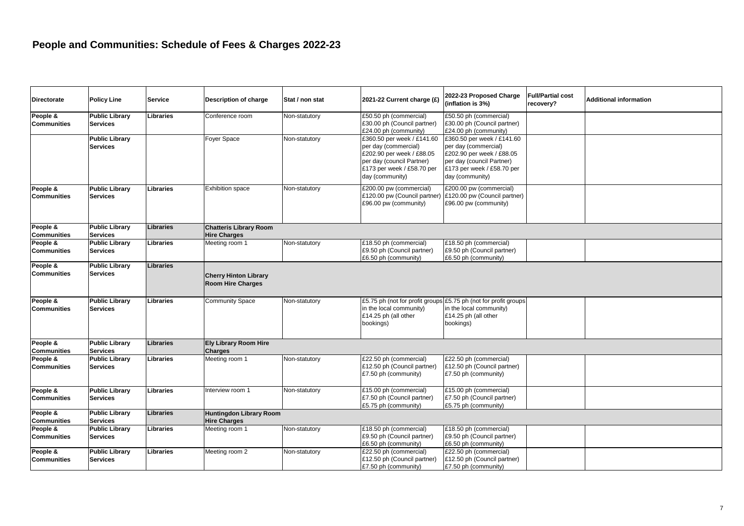| <b>Directorate</b>                                   | <b>Policy Line</b>                       | <b>Service</b>   | <b>Description of charge</b>                             | Stat / non stat | 2021-22 Current charge (£)                                                                                                                                    | 2022-23 Proposed Charge<br>(inflation is 3%)                                                                                                                  | <b>Full/Partial cost</b><br>recovery? | <b>Additional information</b> |
|------------------------------------------------------|------------------------------------------|------------------|----------------------------------------------------------|-----------------|---------------------------------------------------------------------------------------------------------------------------------------------------------------|---------------------------------------------------------------------------------------------------------------------------------------------------------------|---------------------------------------|-------------------------------|
| People &<br><b>Communities</b>                       | <b>Public Library</b><br><b>Services</b> | Libraries        | Conference room                                          | Non-statutory   | £50.50 ph (commercial)<br>£30.00 ph (Council partner)<br>£24.00 ph (community)                                                                                | £50.50 ph (commercial)<br>£30.00 ph (Council partner)<br>£24.00 ph (community)                                                                                |                                       |                               |
|                                                      | <b>Public Library</b><br><b>Services</b> |                  | <b>Foyer Space</b>                                       | Non-statutory   | £360.50 per week / £141.60<br>per day (commercial)<br>£202.90 per week / £88.05<br>per day (council Partner)<br>£173 per week / £58.70 per<br>day (community) | £360.50 per week / £141.60<br>per day (commercial)<br>£202.90 per week / £88.05<br>per day (council Partner)<br>£173 per week / £58.70 per<br>day (community) |                                       |                               |
| People &<br><b>Communities</b>                       | <b>Public Library</b><br><b>Services</b> | Libraries        | <b>Exhibition space</b>                                  | Non-statutory   | £200.00 pw (commercial)<br>£120.00 pw (Council partner)<br>£96.00 pw (community)                                                                              | £200.00 pw (commercial)<br>£120.00 pw (Council partner)<br>£96.00 pw (community)                                                                              |                                       |                               |
| People &<br><b>Communities</b>                       | <b>Public Library</b><br><b>Services</b> | <b>Libraries</b> | <b>Chatteris Library Room</b><br><b>Hire Charges</b>     |                 |                                                                                                                                                               |                                                                                                                                                               |                                       |                               |
| People $\overline{\mathbf{g}}$<br><b>Communities</b> | <b>Public Library</b><br><b>Services</b> | Libraries        | Meeting room 1                                           | Non-statutory   | £18.50 ph (commercial)<br>£9.50 ph (Council partner)<br>£6.50 ph (community)                                                                                  | £18.50 ph (commercial)<br>£9.50 ph (Council partner)<br>£6.50 ph (community)                                                                                  |                                       |                               |
| People &<br><b>Communities</b>                       | <b>Public Library</b><br><b>Services</b> | <b>Libraries</b> | <b>Cherry Hinton Library</b><br><b>Room Hire Charges</b> |                 |                                                                                                                                                               |                                                                                                                                                               |                                       |                               |
| People &<br><b>Communities</b>                       | <b>Public Library</b><br><b>Services</b> | <b>Libraries</b> | <b>Community Space</b>                                   | Non-statutory   | in the local community)<br>£14.25 ph (all other<br>bookings)                                                                                                  | £5.75 ph (not for profit groups £5.75 ph (not for profit groups<br>in the local community)<br>£14.25 ph (all other<br>bookings)                               |                                       |                               |
| People &<br><b>Communities</b>                       | Public Library<br><b>Services</b>        | <b>Libraries</b> | <b>Ely Library Room Hire</b><br><b>Charges</b>           |                 |                                                                                                                                                               |                                                                                                                                                               |                                       |                               |
| People &<br><b>Communities</b>                       | <b>Public Library</b><br><b>Services</b> | Libraries        | Meeting room 1                                           | Non-statutory   | £22.50 ph (commercial)<br>£12.50 ph (Council partner)<br>£7.50 ph (community)                                                                                 | £22.50 ph (commercial)<br>£12.50 ph (Council partner)<br>£7.50 ph (community)                                                                                 |                                       |                               |
| People &<br><b>Communities</b>                       | <b>Public Library</b><br><b>Services</b> | Libraries        | Interview room 1                                         | Non-statutory   | £15.00 ph (commercial)<br>£7.50 ph (Council partner)<br>£5.75 ph (community)                                                                                  | £15.00 ph (commercial)<br>£7.50 ph (Council partner)<br>£5.75 ph (community)                                                                                  |                                       |                               |
| People &<br><b>Communities</b>                       | <b>Public Library</b><br><b>Services</b> | <b>Libraries</b> | <b>Huntingdon Library Room</b><br><b>Hire Charges</b>    |                 |                                                                                                                                                               |                                                                                                                                                               |                                       |                               |
| People &<br><b>Communities</b>                       | <b>Public Library</b><br><b>Services</b> | Libraries        | Meeting room 1                                           | Non-statutory   | £18.50 ph (commercial)<br>£9.50 ph (Council partner)<br>£6.50 ph (community)                                                                                  | £18.50 ph (commercial)<br>£9.50 ph (Council partner)<br>£6.50 ph (community)                                                                                  |                                       |                               |
| People &<br><b>Communities</b>                       | <b>Public Library</b><br><b>Services</b> | Libraries        | Meeting room 2                                           | Non-statutory   | £22.50 ph (commercial)<br>£12.50 ph (Council partner)<br>£7.50 ph (community)                                                                                 | £22.50 ph (commercial)<br>£12.50 ph (Council partner)<br>£7.50 ph (community)                                                                                 |                                       |                               |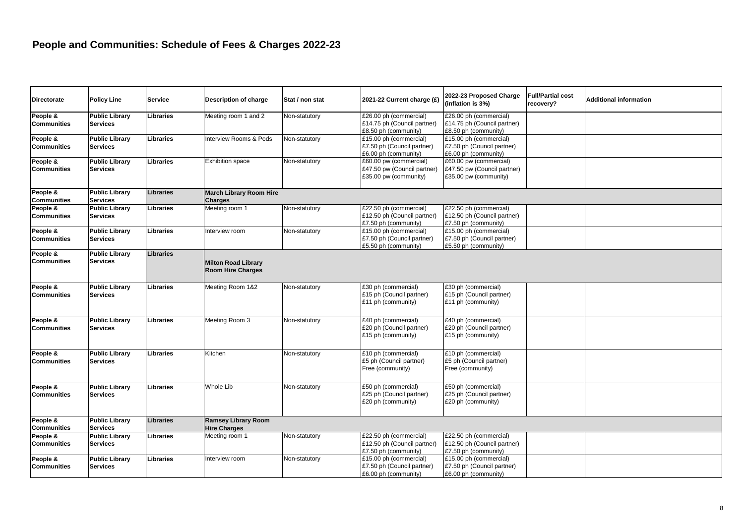| <b>Directorate</b>             | <b>Policy Line</b>                       | <b>Service</b>   | Description of charge                                  | Stat / non stat | 2021-22 Current charge (£                                                      | 2022-23 Proposed Charge<br>(inflation is 3%)                                   | <b>Full/Partial cost</b><br>recovery? | <b>Additional information</b> |
|--------------------------------|------------------------------------------|------------------|--------------------------------------------------------|-----------------|--------------------------------------------------------------------------------|--------------------------------------------------------------------------------|---------------------------------------|-------------------------------|
| People &<br><b>Communities</b> | <b>Public Library</b><br><b>Services</b> | Libraries        | Meeting room 1 and 2                                   | Non-statutory   | £26.00 ph (commercial)<br>£14.75 ph (Council partner)<br>£8.50 ph (community)  | £26.00 ph (commercial)<br>£14.75 ph (Council partner)<br>£8.50 ph (community)  |                                       |                               |
| People &<br><b>Communities</b> | <b>Public Library</b><br><b>Services</b> | Libraries        | Interview Rooms & Pods                                 | Non-statutory   | £15.00 ph (commercial)<br>£7.50 ph (Council partner)<br>£6.00 ph (community)   | £15.00 ph (commercial)<br>£7.50 ph (Council partner)<br>£6.00 ph (community)   |                                       |                               |
| People &<br><b>Communities</b> | <b>Public Library</b><br><b>Services</b> | Libraries        | <b>Exhibition space</b>                                | Non-statutory   | £60.00 pw (commercial)<br>£47.50 pw (Council partner)<br>£35.00 pw (community) | £60.00 pw (commercial)<br>£47.50 pw (Council partner)<br>£35.00 pw (community) |                                       |                               |
| People &<br><b>Communities</b> | <b>Public Library</b><br><b>Services</b> | Libraries        | <b>March Library Room Hire</b><br>Charges              |                 |                                                                                |                                                                                |                                       |                               |
| People &<br><b>Communities</b> | <b>Public Library</b><br><b>Services</b> | Libraries        | Meeting room 1                                         | Non-statutory   | £22.50 ph (commercial)<br>£12.50 ph (Council partner)<br>£7.50 ph (community)  | £22.50 ph (commercial)<br>£12.50 ph (Council partner)<br>£7.50 ph (community)  |                                       |                               |
| People &<br><b>Communities</b> | <b>Public Library</b><br><b>Services</b> | <b>Libraries</b> | Interview room                                         | Non-statutory   | £15.00 ph (commercial)<br>£7.50 ph (Council partner)<br>£5.50 ph (community)   | £15.00 ph (commercial)<br>£7.50 ph (Council partner)<br>£5.50 ph (community)   |                                       |                               |
| People &<br><b>Communities</b> | <b>Public Library</b><br><b>Services</b> | <b>Libraries</b> | <b>Milton Road Library</b><br><b>Room Hire Charges</b> |                 |                                                                                |                                                                                |                                       |                               |
| People &<br><b>Communities</b> | <b>Public Library</b><br><b>Services</b> | Libraries        | Meeting Room 1&2                                       | Non-statutory   | £30 ph (commercial)<br>£15 ph (Council partner)<br>£11 ph (community)          | £30 ph (commercial)<br>£15 ph (Council partner)<br>£11 ph (community)          |                                       |                               |
| People &<br><b>Communities</b> | <b>Public Library</b><br><b>Services</b> | Libraries        | Meeting Room 3                                         | Non-statutory   | £40 ph (commercial)<br>£20 ph (Council partner)<br>£15 ph (community)          | £40 ph (commercial)<br>£20 ph (Council partner)<br>£15 ph (community)          |                                       |                               |
| People &<br><b>Communities</b> | Public Library<br><b>Services</b>        | Libraries        | Kitchen                                                | Non-statutory   | £10 ph (commercial)<br>£5 ph (Council partner)<br>Free (community)             | £10 ph (commercial)<br>£5 ph (Council partner)<br>Free (community)             |                                       |                               |
| People &<br><b>Communities</b> | <b>Public Library</b><br><b>Services</b> | <b>Libraries</b> | <b>Whole Lib</b>                                       | Non-statutory   | £50 ph (commercial)<br>£25 ph (Council partner)<br>£20 ph (community)          | £50 ph (commercial)<br>£25 ph (Council partner)<br>£20 ph (community)          |                                       |                               |
| People &<br><b>Communities</b> | <b>Public Library</b><br><b>Services</b> | Libraries        | <b>Ramsey Library Room</b><br><b>Hire Charges</b>      |                 |                                                                                |                                                                                |                                       |                               |
| People &<br><b>Communities</b> | <b>Public Library</b><br><b>Services</b> | Libraries        | Meeting room 1                                         | Non-statutory   | £22.50 ph (commercial)<br>£12.50 ph (Council partner)<br>£7.50 ph (community)  | £22.50 ph (commercial)<br>£12.50 ph (Council partner)<br>£7.50 ph (community)  |                                       |                               |
| People &<br><b>Communities</b> | <b>Public Library</b><br><b>Services</b> | <b>Libraries</b> | Interview room                                         | Non-statutory   | £15.00 ph (commercial)<br>£7.50 ph (Council partner)<br>£6.00 ph (community)   | £15.00 ph (commercial)<br>£7.50 ph (Council partner)<br>£6.00 ph (community)   |                                       |                               |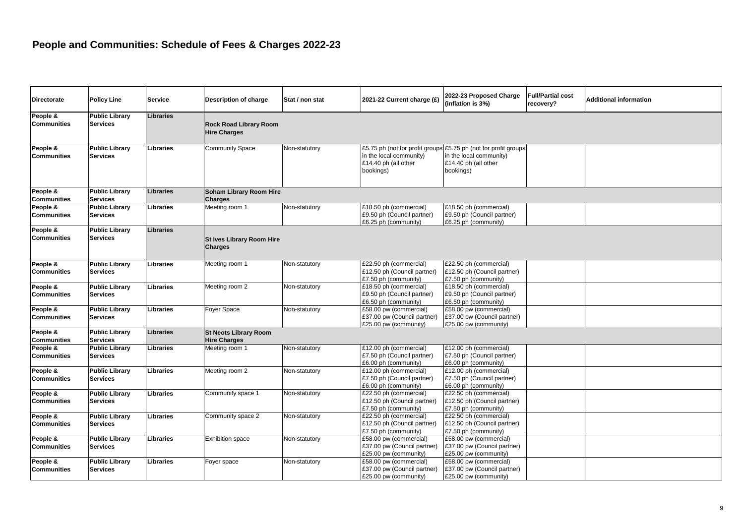| <b>Directorate</b>             | <b>Policy Line</b>                       | <b>Service</b>   | Description of charge                                | Stat / non stat | 2021-22 Current charge (£)                                                     | 2022-23 Proposed Charge<br>(inflation is 3%)                                                                                    | <b>Full/Partial cost</b><br>recovery? | <b>Additional information</b> |
|--------------------------------|------------------------------------------|------------------|------------------------------------------------------|-----------------|--------------------------------------------------------------------------------|---------------------------------------------------------------------------------------------------------------------------------|---------------------------------------|-------------------------------|
| People &<br>Communities        | <b>Public Library</b><br><b>Services</b> | <b>Libraries</b> | <b>Rock Road Library Room</b><br><b>Hire Charges</b> |                 |                                                                                |                                                                                                                                 |                                       |                               |
| People &<br>Communities        | <b>Public Library</b><br><b>Services</b> | Libraries        | <b>Community Space</b>                               | Non-statutory   | in the local community)<br>£14.40 ph (all other<br>bookings)                   | £5.75 ph (not for profit groups £5.75 ph (not for profit groups<br>in the local community)<br>£14.40 ph (all other<br>bookings) |                                       |                               |
| People &<br><b>Communities</b> | <b>Public Library</b><br><b>Services</b> | <b>Libraries</b> | Soham Library Room Hire<br><b>Charges</b>            |                 |                                                                                |                                                                                                                                 |                                       |                               |
| People &<br><b>Communities</b> | <b>Public Library</b><br><b>Services</b> | Libraries        | Meeting room 1                                       | Non-statutory   | £18.50 ph (commercial)<br>£9.50 ph (Council partner)<br>£6.25 ph (community)   | £18.50 ph (commercial)<br>£9.50 ph (Council partner)<br>£6.25 ph (community)                                                    |                                       |                               |
| People &<br><b>Communities</b> | <b>Public Library</b><br><b>Services</b> | <b>Libraries</b> | <b>St Ives Library Room Hire</b><br><b>Charges</b>   |                 |                                                                                |                                                                                                                                 |                                       |                               |
| People &<br><b>Communities</b> | <b>Public Library</b><br><b>Services</b> | Libraries        | Meeting room 1                                       | Non-statutory   | £22.50 ph (commercial)<br>£12.50 ph (Council partner)<br>£7.50 ph (community)  | £22.50 ph (commercial)<br>£12.50 ph (Council partner)<br>£7.50 ph (community)                                                   |                                       |                               |
| People &<br><b>Communities</b> | <b>Public Library</b><br><b>Services</b> | Libraries        | Meeting room 2                                       | Non-statutory   | £18.50 ph (commercial)<br>£9.50 ph (Council partner)<br>£6.50 ph (community)   | £18.50 ph (commercial)<br>£9.50 ph (Council partner)<br>£6.50 ph (community)                                                    |                                       |                               |
| People &<br>Communities        | <b>Public Library</b><br><b>Services</b> | Libraries        | Foyer Space                                          | Non-statutory   | £58.00 pw (commercial)<br>£37.00 pw (Council partner)<br>£25.00 pw (community) | £58.00 pw (commercial)<br>£37.00 pw (Council partner)<br>£25.00 pw (community)                                                  |                                       |                               |
| People &<br><b>Communities</b> | <b>Public Library</b><br><b>Services</b> | <b>Libraries</b> | <b>St Neots Library Room</b><br><b>Hire Charges</b>  |                 |                                                                                |                                                                                                                                 |                                       |                               |
| People &<br>Communities        | <b>Public Library</b><br><b>Services</b> | Libraries        | Meeting room 1                                       | Non-statutory   | £12.00 ph (commercial)<br>£7.50 ph (Council partner)<br>£6.00 ph (community)   | £12.00 ph (commercial)<br>£7.50 ph (Council partner)<br>£6.00 ph (community)                                                    |                                       |                               |
| People &<br>Communities        | <b>Public Library</b><br><b>Services</b> | Libraries        | Meeting room 2                                       | Non-statutory   | £12.00 ph (commercial)<br>£7.50 ph (Council partner)<br>£6.00 ph (community)   | £12.00 ph (commercial)<br>£7.50 ph (Council partner)<br>£6.00 ph (community)                                                    |                                       |                               |
| People &<br><b>Communities</b> | <b>Public Library</b><br><b>Services</b> | Libraries        | Community space 1                                    | Non-statutory   | £22.50 ph (commercial)<br>£12.50 ph (Council partner)<br>£7.50 ph (community)  | £22.50 ph (commercial)<br>£12.50 ph (Council partner)<br>£7.50 ph (community)                                                   |                                       |                               |
| People &<br><b>Communities</b> | <b>Public Library</b><br><b>Services</b> | Libraries        | Community space 2                                    | Non-statutory   | £22.50 ph (commercial)<br>£12.50 ph (Council partner)<br>£7.50 ph (community)  | £22.50 ph (commercial)<br>£12.50 ph (Council partner)<br>£7.50 ph (community)                                                   |                                       |                               |
| People &<br><b>Communities</b> | <b>Public Library</b><br><b>Services</b> | Libraries        | <b>Exhibition space</b>                              | Non-statutory   | £58.00 pw (commercial)<br>£37.00 pw (Council partner)<br>£25.00 pw (community) | £58.00 pw (commercial)<br>£37.00 pw (Council partner)<br>£25.00 pw (community)                                                  |                                       |                               |
| People &<br><b>Communities</b> | <b>Public Library</b><br><b>Services</b> | Libraries        | Foyer space                                          | Non-statutory   | £58.00 pw (commercial)<br>£37.00 pw (Council partner)<br>£25.00 pw (community) | £58.00 pw (commercial)<br>£37.00 pw (Council partner)<br>£25.00 pw (community)                                                  |                                       |                               |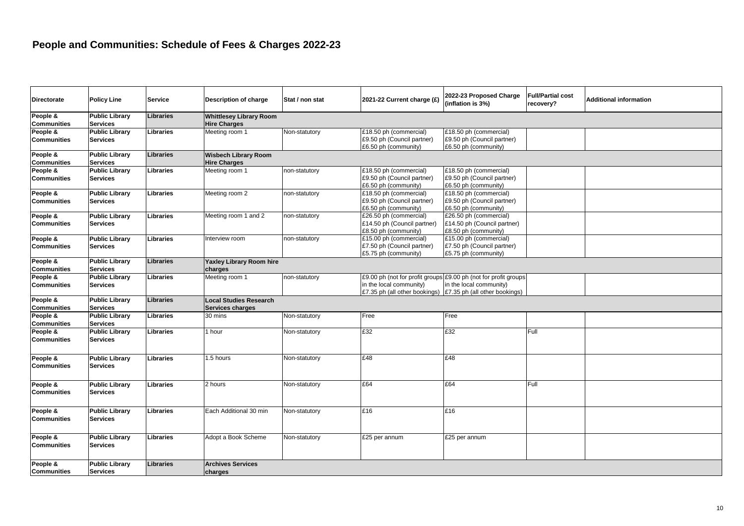| <b>Directorate</b>             | <b>Policy Line</b>                       | <b>Service</b>   | Description of charge                                 | Stat / non stat | 2021-22 Current charge (£)                                                    | 2022-23 Proposed Charge<br>(inflation is 3%)                                                                                                                               | <b>Full/Partial cost</b><br>recovery? | Additional information |
|--------------------------------|------------------------------------------|------------------|-------------------------------------------------------|-----------------|-------------------------------------------------------------------------------|----------------------------------------------------------------------------------------------------------------------------------------------------------------------------|---------------------------------------|------------------------|
| People &<br><b>Communities</b> | <b>Public Library</b><br><b>Services</b> | Libraries        | <b>Whittlesey Library Room</b><br><b>Hire Charges</b> |                 |                                                                               |                                                                                                                                                                            |                                       |                        |
| People &<br><b>Communities</b> | <b>Public Library</b><br><b>Services</b> | Libraries        | Meeting room 1                                        | Non-statutory   | £18.50 ph (commercial)<br>£9.50 ph (Council partner)<br>£6.50 ph (community)  | £18.50 ph (commercial)<br>£9.50 ph (Council partner)<br>£6.50 ph (community)                                                                                               |                                       |                        |
| People &<br><b>Communities</b> | <b>Public Library</b><br><b>Services</b> | <b>Libraries</b> | <b>Wisbech Library Room</b><br><b>Hire Charges</b>    |                 |                                                                               |                                                                                                                                                                            |                                       |                        |
| People &<br><b>Communities</b> | <b>Public Library</b><br><b>Services</b> | Libraries        | Meeting room 1                                        | non-statutory   | £18.50 ph (commercial)<br>£9.50 ph (Council partner)<br>£6.50 ph (community)  | £18.50 ph (commercial)<br>£9.50 ph (Council partner)<br>£6.50 ph (community)                                                                                               |                                       |                        |
| People &<br><b>Communities</b> | <b>Public Library</b><br><b>Services</b> | Libraries        | Meeting room 2                                        | non-statutory   | £18.50 ph (commercial)<br>£9.50 ph (Council partner)<br>£6.50 ph (community)  | £18.50 ph (commercial)<br>£9.50 ph (Council partner)<br>£6.50 ph (community)                                                                                               |                                       |                        |
| People &<br><b>Communities</b> | <b>Public Library</b><br><b>Services</b> | Libraries        | Meeting room 1 and 2                                  | non-statutory   | £26.50 ph (commercial)<br>£14.50 ph (Council partner)<br>£8.50 ph (community) | £26.50 ph (commercial)<br>£14.50 ph (Council partner)<br>£8.50 ph (community)                                                                                              |                                       |                        |
| People &<br><b>Communities</b> | <b>Public Library</b><br><b>Services</b> | Libraries        | Interview room                                        | non-statutory   | £15.00 ph (commercial)<br>£7.50 ph (Council partner)<br>£5.75 ph (community)  | £15.00 ph (commercial)<br>£7.50 ph (Council partner)<br>£5.75 ph (community)                                                                                               |                                       |                        |
| People &<br><b>Communities</b> | <b>Public Library</b><br><b>Services</b> | <b>Libraries</b> | Yaxley Library Room hire<br>charges                   |                 |                                                                               |                                                                                                                                                                            |                                       |                        |
| People &<br><b>Communities</b> | <b>Public Library</b><br><b>Services</b> | Libraries        | Meeting room 1                                        | non-statutory   | in the local community)                                                       | £9.00 ph (not for profit groups £9.00 ph (not for profit groups<br>in the local community)<br>£7.35 ph (all other bookings) $\left  \right $ £7.35 ph (all other bookings) |                                       |                        |
| People &<br><b>Communities</b> | <b>Public Library</b><br><b>Services</b> | Libraries        | <b>Local Studies Research</b><br>Services charges     |                 |                                                                               |                                                                                                                                                                            |                                       |                        |
| People &<br><b>Communities</b> | <b>Public Library</b><br><b>Services</b> | Libraries        | 30 mins                                               | Non-statutory   | Free                                                                          | Free                                                                                                                                                                       |                                       |                        |
| People &<br><b>Communities</b> | <b>Public Library</b><br><b>Services</b> | Libraries        | 1 hour                                                | Non-statutory   | E32                                                                           | £32                                                                                                                                                                        | Full                                  |                        |
| People &<br><b>Communities</b> | <b>Public Library</b><br><b>Services</b> | Libraries        | 1.5 hours                                             | Non-statutory   | £48                                                                           | £48                                                                                                                                                                        |                                       |                        |
| People &<br><b>Communities</b> | <b>Public Library</b><br><b>Services</b> | Libraries        | 2 hours                                               | Non-statutory   | £64                                                                           | £64                                                                                                                                                                        | Full                                  |                        |
| People &<br><b>Communities</b> | <b>Public Library</b><br><b>Services</b> | Libraries        | Each Additional 30 min                                | Non-statutory   | £16                                                                           | £16                                                                                                                                                                        |                                       |                        |
| People &<br><b>Communities</b> | <b>Public Library</b><br><b>Services</b> | Libraries        | Adopt a Book Scheme                                   | Non-statutory   | £25 per annum                                                                 | £25 per annum                                                                                                                                                              |                                       |                        |
| People &<br><b>Communities</b> | <b>Public Library</b><br><b>Services</b> | Libraries        | <b>Archives Services</b><br>charges                   |                 |                                                                               |                                                                                                                                                                            |                                       |                        |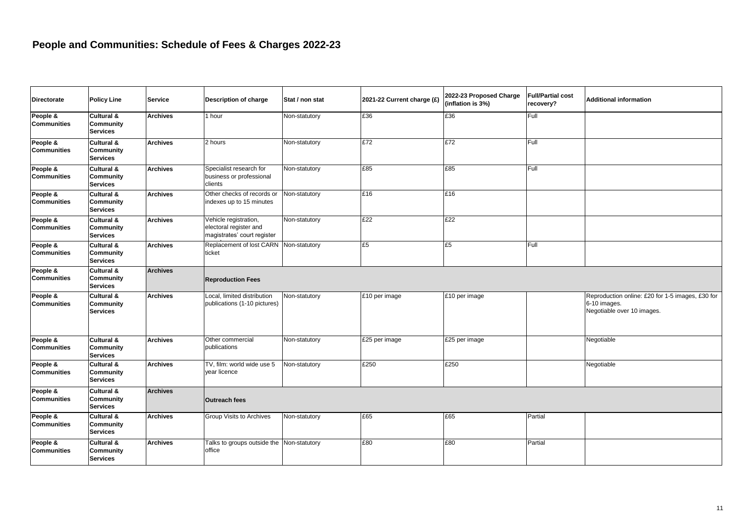| <b>Directorate</b>             | <b>Policy Line</b>                                | <b>Service</b>  | <b>Description of charge</b>                                                   | Stat / non stat | 2021-22 Current charge (£) | 2022-23 Proposed Charge<br>(inflation is 3%) | <b>Full/Partial cost</b><br>recovery? | <b>Additional information</b>                                                                  |
|--------------------------------|---------------------------------------------------|-----------------|--------------------------------------------------------------------------------|-----------------|----------------------------|----------------------------------------------|---------------------------------------|------------------------------------------------------------------------------------------------|
| People &<br><b>Communities</b> | Cultural &<br><b>Community</b><br><b>Services</b> | <b>Archives</b> | 1 hour                                                                         | Non-statutory   | £36                        | £36                                          | Full                                  |                                                                                                |
| People &<br><b>Communities</b> | Cultural &<br>Community<br><b>Services</b>        | <b>Archives</b> | 2 hours                                                                        | Non-statutory   | E72                        | £72                                          | Full                                  |                                                                                                |
| People &<br><b>Communities</b> | Cultural &<br><b>Community</b><br><b>Services</b> | <b>Archives</b> | Specialist research for<br>business or professional<br>clients                 | Non-statutory   | £85                        | £85                                          | Full                                  |                                                                                                |
| People &<br><b>Communities</b> | Cultural &<br><b>Community</b><br><b>Services</b> | <b>Archives</b> | Other checks of records or<br>indexes up to 15 minutes                         | Non-statutory   | £16                        | £16                                          |                                       |                                                                                                |
| People &<br><b>Communities</b> | Cultural &<br><b>Community</b><br><b>Services</b> | <b>Archives</b> | Vehicle registration,<br>electoral register and<br>magistrates' court register | Non-statutory   | E22                        | £22                                          |                                       |                                                                                                |
| People &<br><b>Communities</b> | Cultural &<br><b>Community</b><br><b>Services</b> | <b>Archives</b> | Replacement of lost CARN<br>ticket                                             | Non-statutory   | £5                         | £5                                           | Full                                  |                                                                                                |
| People &<br><b>Communities</b> | Cultural &<br><b>Community</b><br><b>Services</b> | <b>Archives</b> | <b>Reproduction Fees</b>                                                       |                 |                            |                                              |                                       |                                                                                                |
| People &<br><b>Communities</b> | Cultural &<br><b>Community</b><br><b>Services</b> | <b>Archives</b> | Local, limited distribution<br>publications (1-10 pictures)                    | Non-statutory   | £10 per image              | £10 per image                                |                                       | Reproduction online: £20 for 1-5 images, £30 for<br>6-10 images.<br>Negotiable over 10 images. |
| People &<br><b>Communities</b> | Cultural &<br><b>Community</b><br><b>Services</b> | <b>Archives</b> | Other commercial<br>publications                                               | Non-statutory   | £25 per image              | £25 per image                                |                                       | Negotiable                                                                                     |
| People &<br><b>Communities</b> | Cultural &<br><b>Community</b><br><b>Services</b> | <b>Archives</b> | TV, film: world wide use 5<br>year licence                                     | Non-statutory   | £250                       | £250                                         |                                       | Negotiable                                                                                     |
| People &<br><b>Communities</b> | Cultural &<br>Community<br><b>Services</b>        | <b>Archives</b> | <b>Outreach fees</b>                                                           |                 |                            |                                              |                                       |                                                                                                |
| People &<br><b>Communities</b> | Cultural &<br>Community<br><b>Services</b>        | <b>Archives</b> | <b>Group Visits to Archives</b>                                                | Non-statutory   | £65                        | £65                                          | Partial                               |                                                                                                |
| People &<br><b>Communities</b> | Cultural &<br>Community<br><b>Services</b>        | <b>Archives</b> | Talks to groups outside the<br>office                                          | Non-statutory   | £80                        | £80                                          | Partial                               |                                                                                                |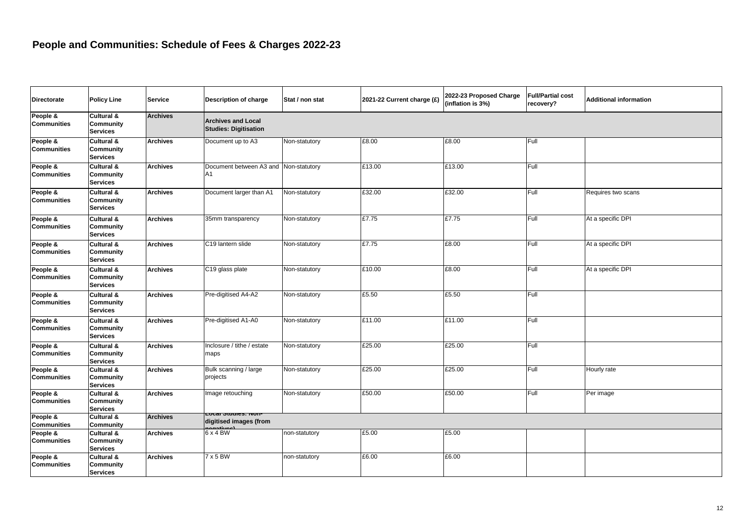| Directorate                    | <b>Policy Line</b>                                           | <b>Service</b>  | Description of charge                                     | Stat / non stat | 2021-22 Current charge (£) | 2022-23 Proposed Charge<br>(inflation is 3%) | <b>Full/Partial cost</b><br>recovery? | <b>Additional information</b> |
|--------------------------------|--------------------------------------------------------------|-----------------|-----------------------------------------------------------|-----------------|----------------------------|----------------------------------------------|---------------------------------------|-------------------------------|
| People &<br><b>Communities</b> | Cultural &<br><b>Community</b><br><b>Services</b>            | <b>Archives</b> | <b>Archives and Local</b><br><b>Studies: Digitisation</b> |                 |                            |                                              |                                       |                               |
| People &<br><b>Communities</b> | Cultural &<br>Community<br><b>Services</b>                   | <b>Archives</b> | Document up to A3                                         | Non-statutory   | £8.00                      | £8.00                                        | Full                                  |                               |
| People &<br><b>Communities</b> | Cultural &<br><b>Community</b><br><b>Services</b>            | <b>Archives</b> | Document between A3 and Non-statutory<br>A <sub>1</sub>   |                 | £13.00                     | £13.00                                       | Full                                  |                               |
| People &<br><b>Communities</b> | <b>Cultural &amp;</b><br>Community<br><b>Services</b>        | <b>Archives</b> | Document larger than A1                                   | Non-statutory   | £32.00                     | £32.00                                       | Full                                  | Requires two scans            |
| People &<br><b>Communities</b> | <b>Cultural &amp;</b><br><b>Community</b><br><b>Services</b> | <b>Archives</b> | 35mm transparency                                         | Non-statutory   | £7.75                      | £7.75                                        | Full                                  | At a specific DPI             |
| People &<br><b>Communities</b> | <b>Cultural &amp;</b><br><b>Community</b><br><b>Services</b> | <b>Archives</b> | C19 lantern slide                                         | Non-statutory   | £7.75                      | £8.00                                        | Full                                  | At a specific DPI             |
| People &<br><b>Communities</b> | Cultural &<br><b>Community</b><br><b>Services</b>            | <b>Archives</b> | C19 glass plate                                           | Non-statutory   | £10.00                     | £8.00                                        | Full                                  | At a specific DPI             |
| People &<br><b>Communities</b> | <b>Cultural &amp;</b><br><b>Community</b><br><b>Services</b> | <b>Archives</b> | Pre-digitised A4-A2                                       | Non-statutory   | £5.50                      | £5.50                                        | Full                                  |                               |
| People &<br><b>Communities</b> | <b>Cultural &amp;</b><br>Community<br><b>Services</b>        | <b>Archives</b> | Pre-digitised A1-A0                                       | Non-statutory   | £11.00                     | £11.00                                       | Full                                  |                               |
| People &<br><b>Communities</b> | <b>Cultural &amp;</b><br><b>Community</b><br><b>Services</b> | <b>Archives</b> | Inclosure / tithe / estate<br>maps                        | Non-statutory   | £25.00                     | £25.00                                       | Full                                  |                               |
| People &<br><b>Communities</b> | Cultural &<br>Community<br><b>Services</b>                   | <b>Archives</b> | Bulk scanning / large<br>projects                         | Non-statutory   | £25.00                     | £25.00                                       | Full                                  | Hourly rate                   |
| People &<br><b>Communities</b> | Cultural &<br><b>Community</b><br><b>Services</b>            | <b>Archives</b> | Image retouching<br>Local Studies: Non-                   | Non-statutory   | £50.00                     | £50.00                                       | Full                                  | Per image                     |
| People &<br><b>Communities</b> | Cultural &<br>Community                                      | <b>Archives</b> | digitised images (from                                    |                 |                            |                                              |                                       |                               |
| People &<br><b>Communities</b> | Cultural &<br><b>Community</b><br><b>Services</b>            | <b>Archives</b> | 6 x 4 BW                                                  | non-statutory   | £5.00                      | £5.00                                        |                                       |                               |
| People &<br><b>Communities</b> | <b>Cultural &amp;</b><br><b>Community</b><br><b>Services</b> | <b>Archives</b> | 7 x 5 BW                                                  | non-statutory   | £6.00                      | £6.00                                        |                                       |                               |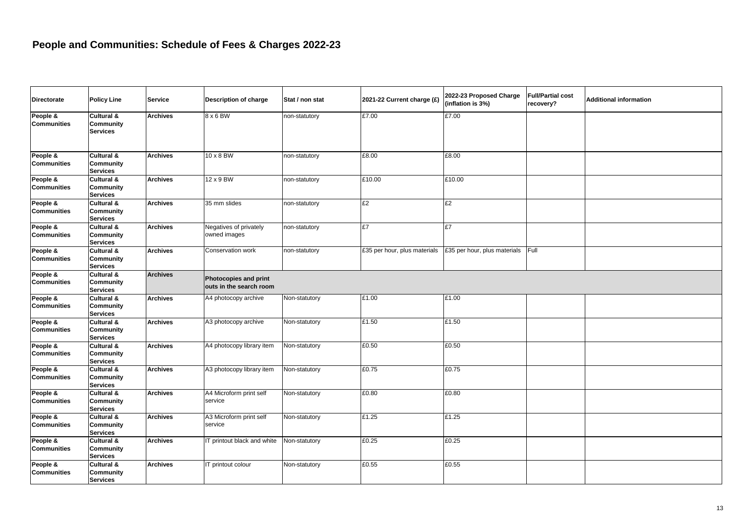| <b>Directorate</b>             | <b>Policy Line</b>                                | <b>Service</b>  | <b>Description of charge</b>                     | Stat / non stat | 2021-22 Current charge (£)   | 2022-23 Proposed Charge<br>(inflation is 3%) | <b>Full/Partial cost</b><br>recovery? | <b>Additional information</b> |  |
|--------------------------------|---------------------------------------------------|-----------------|--------------------------------------------------|-----------------|------------------------------|----------------------------------------------|---------------------------------------|-------------------------------|--|
| People &<br><b>Communities</b> | Cultural &<br><b>Community</b><br><b>Services</b> | <b>Archives</b> | 8 x 6 BW                                         | non-statutory   | £7.00                        | £7.00                                        |                                       |                               |  |
| People &<br><b>Communities</b> | Cultural &<br>Community<br><b>Services</b>        | <b>Archives</b> | 10 x 8 BW                                        | non-statutory   | £8.00                        | £8.00                                        |                                       |                               |  |
| People &<br><b>Communities</b> | Cultural &<br><b>Community</b><br><b>Services</b> | <b>Archives</b> | $12 \times 9$ BW                                 | non-statutory   | £10.00                       | £10.00                                       |                                       |                               |  |
| People &<br><b>Communities</b> | Cultural &<br>Community<br><b>Services</b>        | <b>Archives</b> | 35 mm slides                                     | non-statutory   | £2                           | £2                                           |                                       |                               |  |
| People &<br><b>Communities</b> | Cultural &<br>Community<br><b>Services</b>        | <b>Archives</b> | Negatives of privately<br>owned images           | non-statutory   | £7                           | £7                                           |                                       |                               |  |
| People &<br><b>Communities</b> | Cultural &<br><b>Community</b><br><b>Services</b> | <b>Archives</b> | Conservation work                                | non-statutory   | £35 per hour, plus materials | £35 per hour, plus materials                 | Full                                  |                               |  |
| People &<br><b>Communities</b> | Cultural &<br>Community<br><b>Services</b>        | <b>Archives</b> | Photocopies and print<br>outs in the search room |                 |                              |                                              |                                       |                               |  |
| People &<br><b>Communities</b> | Cultural &<br><b>Community</b><br><b>Services</b> | <b>Archives</b> | A4 photocopy archive                             | Non-statutory   | £1.00                        | £1.00                                        |                                       |                               |  |
| People &<br><b>Communities</b> | Cultural &<br><b>Community</b><br><b>Services</b> | <b>Archives</b> | A3 photocopy archive                             | Non-statutory   | £1.50                        | £1.50                                        |                                       |                               |  |
| People &<br><b>Communities</b> | Cultural &<br>Community<br><b>Services</b>        | <b>Archives</b> | A4 photocopy library item                        | Non-statutory   | £0.50                        | £0.50                                        |                                       |                               |  |
| People &<br><b>Communities</b> | Cultural &<br><b>Community</b><br><b>Services</b> | <b>Archives</b> | A3 photocopy library item                        | Non-statutory   | £0.75                        | £0.75                                        |                                       |                               |  |
| People &<br><b>Communities</b> | Cultural &<br><b>Community</b><br><b>Services</b> | <b>Archives</b> | A4 Microform print self<br>service               | Non-statutory   | £0.80                        | £0.80                                        |                                       |                               |  |
| People &<br><b>Communities</b> | Cultural &<br><b>Community</b><br><b>Services</b> | <b>Archives</b> | A3 Microform print self<br>service               | Non-statutory   | £1.25                        | £1.25                                        |                                       |                               |  |
| People &<br><b>Communities</b> | Cultural &<br>Community<br><b>Services</b>        | <b>Archives</b> | IT printout black and white                      | Non-statutory   | £0.25                        | £0.25                                        |                                       |                               |  |
| People &<br><b>Communities</b> | Cultural &<br>Community<br><b>Services</b>        | <b>Archives</b> | IT printout colour                               | Non-statutory   | £0.55                        | £0.55                                        |                                       |                               |  |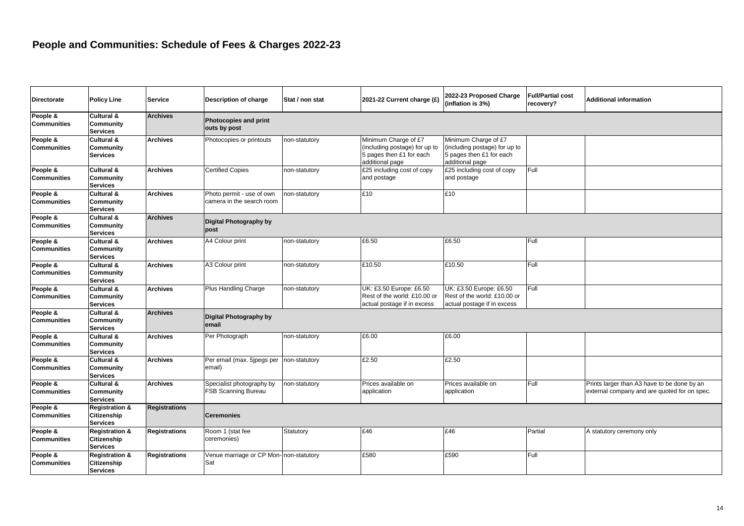| <b>Directorate</b>             | <b>Policy Line</b>                                          | <b>Service</b>       | <b>Description of charge</b>                            | Stat / non stat | 2021-22 Current charge (£)                                                                           | 2022-23 Proposed Charge<br>(inflation is 3%)                                                         | <b>Full/Partial cost</b><br>recoverv? | <b>Additional information</b>                                                               |
|--------------------------------|-------------------------------------------------------------|----------------------|---------------------------------------------------------|-----------------|------------------------------------------------------------------------------------------------------|------------------------------------------------------------------------------------------------------|---------------------------------------|---------------------------------------------------------------------------------------------|
| People &<br><b>Communities</b> | Cultural &<br>Community<br><b>Services</b>                  | <b>Archives</b>      | Photocopies and print<br>outs by post                   |                 |                                                                                                      |                                                                                                      |                                       |                                                                                             |
| People &<br>Communities        | Cultural &<br>Community<br><b>Services</b>                  | <b>Archives</b>      | Photocopies or printouts                                | non-statutory   | Minimum Charge of £7<br>(including postage) for up to<br>5 pages then £1 for each<br>additional page | Minimum Charge of £7<br>(including postage) for up to<br>5 pages then £1 for each<br>additional page |                                       |                                                                                             |
| People &<br><b>Communities</b> | Cultural &<br><b>Community</b><br><b>Services</b>           | <b>Archives</b>      | <b>Certified Copies</b>                                 | non-statutory   | £25 including cost of copy<br>and postage                                                            | £25 including cost of copy<br>and postage                                                            | Full                                  |                                                                                             |
| People &<br><b>Communities</b> | Cultural &<br>Community<br><b>Services</b>                  | Archives             | Photo permit - use of own<br>camera in the search room  | non-statutory   | £10                                                                                                  | £10                                                                                                  |                                       |                                                                                             |
| People &<br>Communities        | Cultural &<br>Community<br><b>Services</b>                  | <b>Archives</b>      | Digital Photography by<br>post                          |                 |                                                                                                      |                                                                                                      |                                       |                                                                                             |
| People &<br><b>Communities</b> | Cultural &<br>Community<br><b>Services</b>                  | <b>Archives</b>      | A4 Colour print                                         | non-statutory   | £6.50                                                                                                | £6.50                                                                                                | Full                                  |                                                                                             |
| People &<br><b>Communities</b> | Cultural &<br>Community<br><b>Services</b>                  | <b>Archives</b>      | A3 Colour print                                         | non-statutory   | £10.50                                                                                               | £10.50                                                                                               | Full                                  |                                                                                             |
| People &<br><b>Communities</b> | Cultural &<br>Community<br><b>Services</b>                  | <b>Archives</b>      | Plus Handling Charge                                    | non-statutory   | UK: £3.50 Europe: £6.50<br>Rest of the world: £10.00 or<br>actual postage if in excess               | UK: £3.50 Europe: £6.50<br>Rest of the world: £10.00 or<br>actual postage if in excess               | Full                                  |                                                                                             |
| People &<br><b>Communities</b> | Cultural &<br>Community<br><b>Services</b>                  | <b>Archives</b>      | Digital Photography by<br>email                         |                 |                                                                                                      |                                                                                                      |                                       |                                                                                             |
| People &<br><b>Communities</b> | Cultural &<br>Community<br><b>Services</b>                  | <b>Archives</b>      | Per Photograph                                          | non-statutory   | £6.00                                                                                                | £6.00                                                                                                |                                       |                                                                                             |
| People &<br><b>Communities</b> | Cultural &<br>Community<br><b>Services</b>                  | <b>Archives</b>      | Per email (max. 5jpegs per<br>email)                    | non-statutory   | £2.50                                                                                                | £2.50                                                                                                |                                       |                                                                                             |
| People &<br><b>Communities</b> | Cultural &<br>Community<br><b>Services</b>                  | Archives             | Specialist photography by<br><b>FSB Scanning Bureau</b> | non-statutory   | Prices available on<br>application                                                                   | Prices available on<br>application                                                                   | Full                                  | Prints larger than A3 have to be done by an<br>external company and are quoted for on spec. |
| People &<br><b>Communities</b> | <b>Registration &amp;</b><br>Citizenship<br><b>Services</b> | Registrations        | <b>Ceremonies</b>                                       |                 |                                                                                                      |                                                                                                      |                                       |                                                                                             |
| People &<br>Communities        | <b>Registration &amp;</b><br>Citizenship<br><b>Services</b> | Registrations        | Room 1 (stat fee<br>ceremonies)                         | Statutory       | £46                                                                                                  | £46                                                                                                  | Partial                               | A statutory ceremony only                                                                   |
| People &<br><b>Communities</b> | <b>Registration &amp;</b><br>Citizenship<br><b>Services</b> | <b>Registrations</b> | Venue marriage or CP Mon-non-statutory<br>Sat           |                 | £580                                                                                                 | £590                                                                                                 | Full                                  |                                                                                             |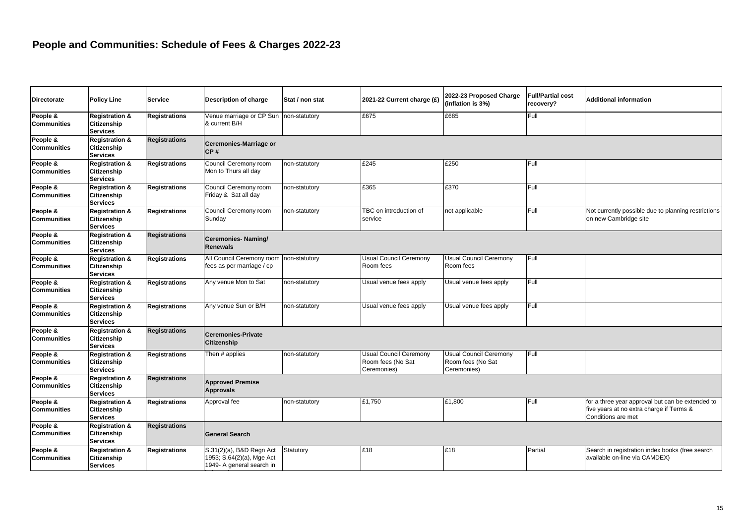| <b>Directorate</b>             | <b>Policy Line</b>                                                 | <b>Service</b>       | Description of charge                                                              | Stat / non stat | 2021-22 Current charge (£)                                 | 2022-23 Proposed Charge<br>(inflation is 3%)                      | <b>Full/Partial cost</b><br>recovery? | Additional information                                                                                             |
|--------------------------------|--------------------------------------------------------------------|----------------------|------------------------------------------------------------------------------------|-----------------|------------------------------------------------------------|-------------------------------------------------------------------|---------------------------------------|--------------------------------------------------------------------------------------------------------------------|
| People &<br><b>Communities</b> | <b>Registration &amp;</b><br>Citizenship<br><b>Services</b>        | <b>Registrations</b> | Venue marriage or CP Sun<br>& current B/H                                          | non-statutory   | £675                                                       | £685                                                              | Full                                  |                                                                                                                    |
| People &<br><b>Communities</b> | <b>Registration &amp;</b><br>Citizenship<br><b>Services</b>        | <b>Registrations</b> | <b>Ceremonies-Marriage or</b><br>CP#                                               |                 |                                                            |                                                                   |                                       |                                                                                                                    |
| People &<br><b>Communities</b> | <b>Registration &amp;</b><br>Citizenship<br><b>Services</b>        | <b>Registrations</b> | Council Ceremony room<br>Mon to Thurs all day                                      | non-statutory   | £245                                                       | £250                                                              | Full                                  |                                                                                                                    |
| People &<br><b>Communities</b> | <b>Registration &amp;</b><br>Citizenship<br><b>Services</b>        | <b>Registrations</b> | Council Ceremony room<br>Friday & Sat all day                                      | non-statutory   | £365                                                       | £370                                                              | Full                                  |                                                                                                                    |
| People &<br><b>Communities</b> | <b>Registration &amp;</b><br>Citizenship<br><b>Services</b>        | Registrations        | Council Ceremony room<br>Sunday                                                    | non-statutory   | TBC on introduction of<br>service                          | not applicable                                                    | Full                                  | Not currently possible due to planning restrictions<br>on new Cambridge site                                       |
| People &<br><b>Communities</b> | <b>Registration &amp;</b><br>Citizenship<br><b>Services</b>        | <b>Registrations</b> | <b>Ceremonies-Naming/</b><br><b>Renewals</b>                                       |                 |                                                            |                                                                   |                                       |                                                                                                                    |
| People &<br><b>Communities</b> | <b>Registration &amp;</b><br><b>Citizenship</b><br><b>Services</b> | <b>Registrations</b> | All Council Ceremony room<br>fees as per marriage / cp                             | non-statutory   | <b>Usual Council Ceremony</b><br>Room fees                 | <b>Usual Council Ceremony</b><br>Room fees                        | Full                                  |                                                                                                                    |
| People &<br><b>Communities</b> | <b>Registration &amp;</b><br><b>Citizenship</b><br><b>Services</b> | <b>Registrations</b> | Any venue Mon to Sat                                                               | non-statutory   | Usual venue fees apply                                     | Usual venue fees apply                                            | Full                                  |                                                                                                                    |
| People &<br><b>Communities</b> | <b>Registration &amp;</b><br>Citizenship<br><b>Services</b>        | <b>Registrations</b> | Any venue Sun or B/H                                                               | non-statutory   | Usual venue fees apply                                     | Usual venue fees apply                                            | Full                                  |                                                                                                                    |
| People &<br><b>Communities</b> | <b>Registration &amp;</b><br>Citizenship<br><b>Services</b>        | <b>Registrations</b> | <b>Ceremonies-Private</b><br><b>Citizenship</b>                                    |                 |                                                            |                                                                   |                                       |                                                                                                                    |
| People &<br><b>Communities</b> | <b>Registration &amp;</b><br>Citizenship<br><b>Services</b>        | <b>Registrations</b> | Then # applies                                                                     | non-statutory   | Usual Council Ceremony<br>Room fees (No Sat<br>Ceremonies) | <b>Usual Council Ceremony</b><br>Room fees (No Sat<br>Ceremonies) | Full                                  |                                                                                                                    |
| People &<br><b>Communities</b> | <b>Registration &amp;</b><br>Citizenship<br><b>Services</b>        | <b>Registrations</b> | <b>Approved Premise</b><br><b>Approvals</b>                                        |                 |                                                            |                                                                   |                                       |                                                                                                                    |
| People &<br><b>Communities</b> | <b>Registration &amp;</b><br>Citizenship<br><b>Services</b>        | Registrations        | Approval fee                                                                       | non-statutory   | £1,750                                                     | £1,800                                                            | Full                                  | for a three year approval but can be extended to<br>five years at no extra charge if Terms &<br>Conditions are met |
| People &<br><b>Communities</b> | <b>Registration &amp;</b><br>Citizenship<br><b>Services</b>        | <b>Registrations</b> | <b>General Search</b>                                                              |                 |                                                            |                                                                   |                                       |                                                                                                                    |
| People &<br><b>Communities</b> | <b>Registration &amp;</b><br>Citizenship<br><b>Services</b>        | Registrations        | S.31(2)(a), B&D Regn Act<br>1953; S.64(2)(a), Mge Act<br>1949- A general search in | Statutory       | £18                                                        | £18                                                               | Partial                               | Search in registration index books (free search<br>available on-line via CAMDEX)                                   |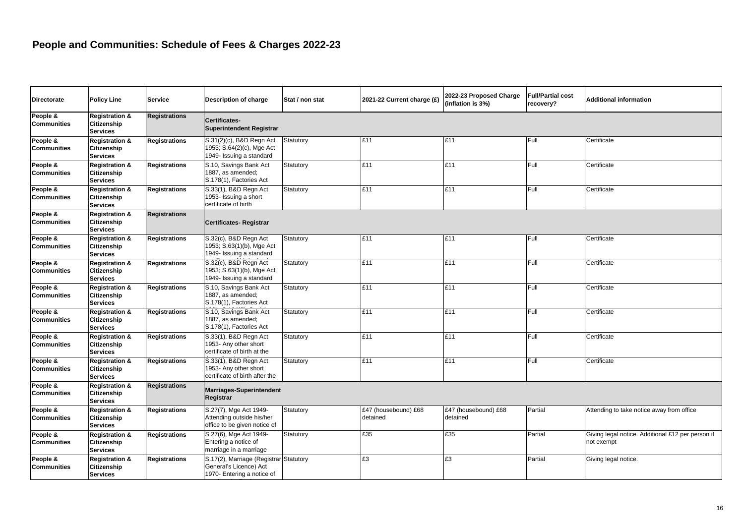marriage by Registrar

| <b>Directorate</b>             | <b>Policy Line</b>                                                 | <b>Service</b>       | Description of charge                                                                          | Stat / non stat | 2021-22 Current charge (£)       | 2022-23 Proposed Charge<br>(inflation is 3%) | <b>Full/Partial cost</b><br>recovery? | <b>Additional information</b>                                   |
|--------------------------------|--------------------------------------------------------------------|----------------------|------------------------------------------------------------------------------------------------|-----------------|----------------------------------|----------------------------------------------|---------------------------------------|-----------------------------------------------------------------|
| People &<br><b>Communities</b> | <b>Registration &amp;</b><br><b>Citizenship</b><br><b>Services</b> | <b>Registrations</b> | Certificates-<br><b>Superintendent Registrar</b>                                               |                 |                                  |                                              |                                       |                                                                 |
| People &<br><b>Communities</b> | <b>Registration &amp;</b><br>Citizenship<br><b>Services</b>        | <b>Registrations</b> | S.31(2)(c), B&D Regn Act<br>1953; S.64(2)(c), Mge Act<br>1949- Issuing a standard              | Statutory       | £11                              | £11                                          | Full                                  | Certificate                                                     |
| People &<br><b>Communities</b> | <b>Registration &amp;</b><br>Citizenship<br><b>Services</b>        | <b>Registrations</b> | S.10, Savings Bank Act<br>1887, as amended;<br>S.178(1), Factories Act                         | Statutory       | £11                              | £11                                          | Full                                  | Certificate                                                     |
| People &<br><b>Communities</b> | <b>Registration &amp;</b><br>Citizenship<br><b>Services</b>        | <b>Registrations</b> | S.33(1), B&D Regn Act<br>1953- Issuing a short<br>certificate of birth                         | Statutory       | £11                              | £11                                          | Full                                  | Certificate                                                     |
| People &<br><b>Communities</b> | <b>Registration &amp;</b><br>Citizenship<br><b>Services</b>        | <b>Registrations</b> | Certificates-Registrar                                                                         |                 |                                  |                                              |                                       |                                                                 |
| People &<br><b>Communities</b> | <b>Registration &amp;</b><br>Citizenship<br><b>Services</b>        | <b>Registrations</b> | S.32(c), B&D Regn Act<br>1953; S.63(1)(b), Mge Act<br>1949- Issuing a standard                 | Statutory       | £11                              | £11                                          | Full                                  | Certificate                                                     |
| People &<br><b>Communities</b> | <b>Registration &amp;</b><br>Citizenship<br><b>Services</b>        | <b>Registrations</b> | S.32(c), B&D Regn Act<br>1953; S.63(1)(b), Mge Act<br>1949- Issuing a standard                 | Statutory       | £11                              | £11                                          | Full                                  | Certificate                                                     |
| People &<br><b>Communities</b> | <b>Registration &amp;</b><br>Citizenship<br><b>Services</b>        | <b>Registrations</b> | S.10, Savings Bank Act<br>1887. as amended:<br>S.178(1), Factories Act                         | Statutory       | £11                              | £11                                          | Full                                  | Certificate                                                     |
| People &<br><b>Communities</b> | <b>Registration &amp;</b><br>Citizenship<br><b>Services</b>        | <b>Registrations</b> | S.10, Savings Bank Act<br>1887, as amended;<br>S.178(1), Factories Act                         | Statutory       | £11                              | £11                                          | Full                                  | Certificate                                                     |
| People &<br><b>Communities</b> | <b>Registration &amp;</b><br>Citizenship<br><b>Services</b>        | <b>Registrations</b> | S.33(1), B&D Regn Act<br>1953- Any other short<br>certificate of birth at the                  | Statutory       | £11                              | £11                                          | Full                                  | Certificate                                                     |
| People &<br><b>Communities</b> | <b>Registration &amp;</b><br>Citizenship<br><b>Services</b>        | <b>Registrations</b> | S.33(1), B&D Regn Act<br>1953- Any other short<br>certificate of birth after the               | Statutory       | £11                              | £11                                          | Full                                  | Certificate                                                     |
| People &<br><b>Communities</b> | <b>Registration &amp;</b><br>Citizenship<br><b>Services</b>        | <b>Registrations</b> | <b>Marriages-Superintendent</b><br>Registrar                                                   |                 |                                  |                                              |                                       |                                                                 |
| People &<br><b>Communities</b> | <b>Registration &amp;</b><br>Citizenship<br><b>Services</b>        | <b>Registrations</b> | S.27(7), Mge Act 1949-<br>Attending outside his/her<br>office to be given notice of            | Statutory       | £47 (housebound) £68<br>detained | £47 (housebound) £68<br>detained             | Partial                               | Attending to take notice away from office                       |
| People &<br><b>Communities</b> | <b>Registration &amp;</b><br>Citizenship<br><b>Services</b>        | <b>Registrations</b> | S.27(6), Mge Act 1949-<br>Entering a notice of<br>marriage in a marriage                       | Statutory       | £35                              | E35                                          | Partial                               | Giving legal notice. Additional £12 per person if<br>not exempt |
| People &<br><b>Communities</b> | <b>Registration &amp;</b><br>Citizenship<br><b>Services</b>        | <b>Registrations</b> | S.17(2), Marriage (Registrar Statutory<br>General's Licence) Act<br>1970- Entering a notice of |                 | £3                               | £3                                           | Partial                               | Giving legal notice.                                            |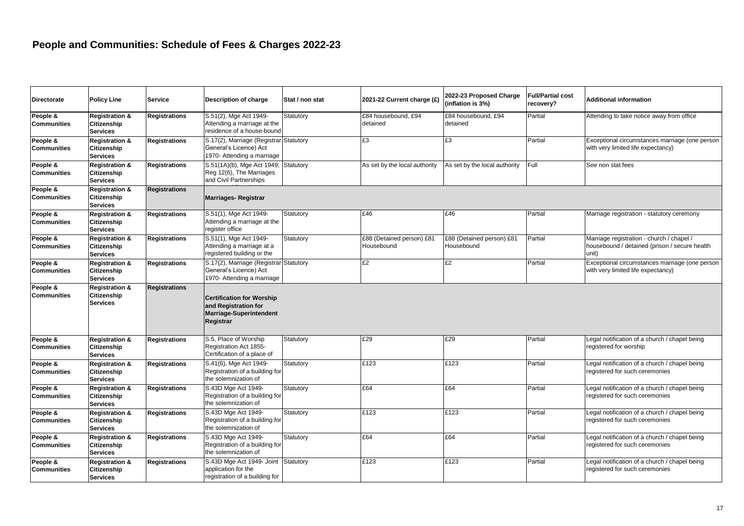| <b>Directorate</b>             | <b>Policy Line</b>                                                 | <b>Service</b>       | <b>Description of charge</b>                                                                            | Stat / non stat | 2021-22 Current charge (£)              | 2022-23 Proposed Charge<br>(inflation is 3%) | <b>Full/Partial cost</b><br>recovery? | <b>Additional information</b>                                                                       |
|--------------------------------|--------------------------------------------------------------------|----------------------|---------------------------------------------------------------------------------------------------------|-----------------|-----------------------------------------|----------------------------------------------|---------------------------------------|-----------------------------------------------------------------------------------------------------|
| People &<br><b>Communities</b> | <b>Registration &amp;</b><br>Citizenship<br><b>Services</b>        | <b>Registrations</b> | S.51(2), Mge Act 1949-<br>Attending a marriage at the<br>residence of a house-bound                     | Statutory       | £84 housebound, £94<br>detained         | £84 housebound, £94<br>detained              | Partial                               | Attending to take notice away from office                                                           |
| People &<br><b>Communities</b> | <b>Registration &amp;</b><br>Citizenship<br><b>Services</b>        | <b>Registrations</b> | S.17(2), Marriage (Registrar Statutory<br>General's Licence) Act<br>1970- Attending a marriage          |                 | £3                                      | £3                                           | Partial                               | Exceptional circumstances marriage (one person<br>with very limited life expectancy)                |
| People &<br>Communities        | <b>Registration &amp;</b><br><b>Citizenship</b><br><b>Services</b> | <b>Registrations</b> | S.51(1A)(b), Mge Act 1949;<br>Reg 12(6), The Marriages<br>and Civil Partnerships                        | Statutory       | As set by the local authority           | As set by the local authority                | Full                                  | See non stat fees                                                                                   |
| People &<br><b>Communities</b> | <b>Registration &amp;</b><br>Citizenship<br><b>Services</b>        | <b>Registrations</b> | <b>Marriages-Registrar</b>                                                                              |                 |                                         |                                              |                                       |                                                                                                     |
| People &<br>Communities        | <b>Registration &amp;</b><br>Citizenship<br><b>Services</b>        | <b>Registrations</b> | S.51(1), Mge Act 1949-<br>Attending a marriage at the<br>register office                                | Statutory       | £46                                     | £46                                          | Partial                               | Marriage registration - statutory ceremony                                                          |
| People &<br>Communities        | <b>Registration &amp;</b><br>Citizenship<br><b>Services</b>        | <b>Registrations</b> | S.51(1), Mge Act 1949-<br>Attending a marriage at a<br>registered building or the                       | Statutory       | £88 (Detained person) £81<br>Housebound | £88 (Detained person) £81<br>Housebound      | Partial                               | Marriage registration - church / chapel /<br>housebound / detained (prison / secure health<br>unit) |
| People &<br>Communities        | <b>Registration &amp;</b><br>Citizenship<br><b>Services</b>        | <b>Registrations</b> | S.17(2), Marriage (Registrar Statutory<br>General's Licence) Act<br>1970- Attending a marriage          |                 | £2                                      | £2                                           | Partial                               | Exceptional circumstances marriage (one person<br>with very limited life expectancy)                |
| People &<br><b>Communities</b> | <b>Registration &amp;</b><br>Citizenship<br><b>Services</b>        | <b>Registrations</b> | <b>Certification for Worship</b><br>and Registration for<br><b>Marriage-Superintendent</b><br>Registrar |                 |                                         |                                              |                                       |                                                                                                     |
| People &<br>Communities        | <b>Registration &amp;</b><br>Citizenship<br><b>Services</b>        | <b>Registrations</b> | S.5, Place of Worship<br>Registration Act 1855-<br>Certification of a place of                          | Statutory       | £29                                     | £29                                          | Partial                               | Legal notification of a church / chapel being<br>registered for worship                             |
| People &<br>Communities        | <b>Registration &amp;</b><br>Citizenship<br><b>Services</b>        | <b>Registrations</b> | S.41(6), Mge Act 1949-<br>Registration of a building for<br>the solemnization of                        | Statutory       | £123                                    | £123                                         | Partial                               | Legal notification of a church / chapel being<br>registered for such ceremonies                     |
| People &<br>Communities        | <b>Registration &amp;</b><br>Citizenship<br><b>Services</b>        | <b>Registrations</b> | S.43D Mge Act 1949-<br>Registration of a building for<br>the solemnization of                           | Statutory       | £64                                     | £64                                          | Partial                               | Legal notification of a church / chapel being<br>registered for such ceremonies                     |
| People &<br>Communities        | <b>Registration &amp;</b><br>Citizenship<br><b>Services</b>        | <b>Registrations</b> | S.43D Mge Act 1949-<br>Registration of a building for<br>the solemnization of                           | Statutory       | £123                                    | £123                                         | Partial                               | Legal notification of a church / chapel being<br>registered for such ceremonies                     |
| People &<br><b>Communities</b> | <b>Registration &amp;</b><br>Citizenship<br><b>Services</b>        | <b>Registrations</b> | S.43D Mge Act 1949-<br>Registration of a building for<br>the solemnization of                           | Statutory       | £64                                     | £64                                          | Partial                               | Legal notification of a church / chapel being<br>registered for such ceremonies                     |
| People &<br><b>Communities</b> | <b>Registration &amp;</b><br>Citizenship<br><b>Services</b>        | <b>Registrations</b> | S.43D Mge Act 1949- Joint<br>application for the<br>registration of a building for                      | Statutory       | £123                                    | £123                                         | Partial                               | Legal notification of a church / chapel being<br>registered for such ceremonies                     |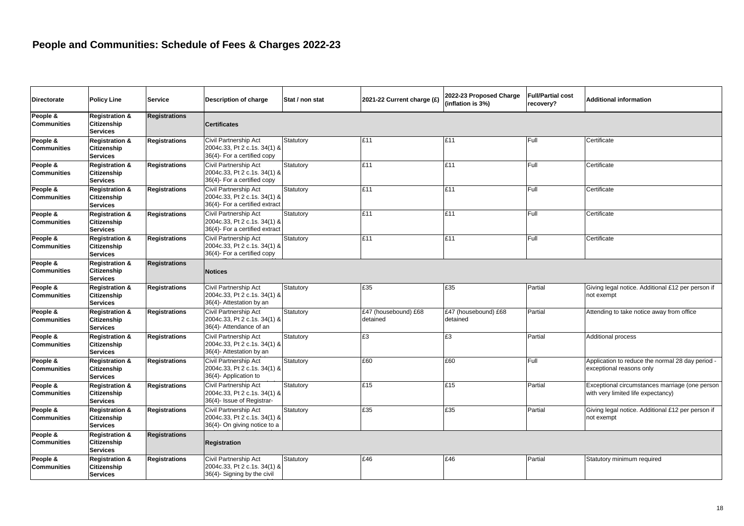| <b>Directorate</b>             | <b>Policy Line</b>                                                 | <b>Service</b>       | <b>Description of charge</b>                                                            | Stat / non stat | 2021-22 Current charge (£)       | 2022-23 Proposed Charge<br>(inflation is 3%) | <b>Full/Partial cost</b><br>recovery? | <b>Additional information</b>                                                        |  |  |
|--------------------------------|--------------------------------------------------------------------|----------------------|-----------------------------------------------------------------------------------------|-----------------|----------------------------------|----------------------------------------------|---------------------------------------|--------------------------------------------------------------------------------------|--|--|
| People &<br><b>Communities</b> | <b>Registration &amp;</b><br><b>Citizenship</b><br><b>Services</b> | <b>Registrations</b> | <b>Certificates</b>                                                                     |                 |                                  |                                              |                                       |                                                                                      |  |  |
| People &<br><b>Communities</b> | <b>Registration &amp;</b><br>Citizenship<br><b>Services</b>        | <b>Registrations</b> | Civil Partnership Act<br>2004c.33, Pt 2 c.1s. 34(1) &<br>36(4)- For a certified copy    | Statutory       | £11                              | £11                                          | Full                                  | Certificate                                                                          |  |  |
| People &<br><b>Communities</b> | <b>Registration &amp;</b><br>Citizenship<br><b>Services</b>        | <b>Registrations</b> | Civil Partnership Act<br>2004c.33, Pt 2 c.1s. 34(1) &<br>36(4)- For a certified copy    | Statutory       | £11                              | £11                                          | Full                                  | Certificate                                                                          |  |  |
| People &<br><b>Communities</b> | <b>Registration &amp;</b><br><b>Citizenship</b><br><b>Services</b> | <b>Registrations</b> | Civil Partnership Act<br>2004c.33, Pt 2 c.1s. 34(1) &<br>36(4)- For a certified extract | Statutory       | £11                              | £11                                          | Full                                  | Certificate                                                                          |  |  |
| People &<br><b>Communities</b> | <b>Registration &amp;</b><br>Citizenship<br><b>Services</b>        | <b>Registrations</b> | Civil Partnership Act<br>2004c.33, Pt 2 c.1s. 34(1) &<br>36(4)- For a certified extract | Statutory       | £11                              | £11                                          | Full                                  | Certificate                                                                          |  |  |
| People &<br><b>Communities</b> | <b>Registration &amp;</b><br>Citizenship<br><b>Services</b>        | <b>Registrations</b> | Civil Partnership Act<br>2004c.33, Pt 2 c.1s. 34(1) &<br>36(4)- For a certified copy    | Statutory       | £11                              | £11                                          | Full                                  | Certificate                                                                          |  |  |
| People &<br><b>Communities</b> | <b>Registration &amp;</b><br>Citizenship<br><b>Services</b>        | <b>Registrations</b> | <b>Notices</b>                                                                          |                 |                                  |                                              |                                       |                                                                                      |  |  |
| People &<br><b>Communities</b> | <b>Registration &amp;</b><br>Citizenship<br><b>Services</b>        | <b>Registrations</b> | Civil Partnership Act<br>2004c.33, Pt 2 c.1s. 34(1) &<br>36(4)- Attestation by an       | Statutory       | £35                              | £35                                          | Partial                               | Giving legal notice. Additional £12 per person if<br>not exempt                      |  |  |
| People &<br><b>Communities</b> | <b>Registration &amp;</b><br>Citizenship<br><b>Services</b>        | <b>Registrations</b> | Civil Partnership Act<br>2004c.33, Pt 2 c.1s. 34(1) &<br>36(4)- Attendance of an        | Statutory       | £47 (housebound) £68<br>detained | £47 (housebound) £68<br>detained             | Partial                               | Attending to take notice away from office                                            |  |  |
| People &<br><b>Communities</b> | <b>Registration &amp;</b><br><b>Citizenship</b><br><b>Services</b> | <b>Registrations</b> | Civil Partnership Act<br>2004c.33, Pt 2 c.1s. 34(1) &<br>36(4)- Attestation by an       | Statutory       | £3                               | £З                                           | Partial                               | Additional process                                                                   |  |  |
| People &<br><b>Communities</b> | <b>Registration &amp;</b><br><b>Citizenship</b><br><b>Services</b> | <b>Registrations</b> | Civil Partnership Act<br>2004c.33, Pt 2 c.1s. 34(1) &<br>36(4)- Application to          | Statutory       | £60                              | £60                                          | Full                                  | Application to reduce the normal 28 day period -<br>exceptional reasons only         |  |  |
| People &<br><b>Communities</b> | <b>Registration &amp;</b><br>Citizenship<br><b>Services</b>        | <b>Registrations</b> | Civil Partnership Act<br>2004c.33, Pt 2 c.1s. 34(1) &<br>36(4)- Issue of Registrar-     | Statutory       | £15                              | £15                                          | Partial                               | Exceptional circumstances marriage (one person<br>with very limited life expectancy) |  |  |
| People &<br><b>Communities</b> | <b>Registration &amp;</b><br>Citizenship<br><b>Services</b>        | <b>Registrations</b> | Civil Partnership Act<br>2004c.33, Pt 2 c.1s. 34(1) &<br>36(4)- On giving notice to a   | Statutory       | £35                              | £35                                          | Partial                               | Giving legal notice. Additional £12 per person if<br>not exempt                      |  |  |
| People &<br><b>Communities</b> | <b>Registration &amp;</b><br>Citizenship<br><b>Services</b>        | <b>Registrations</b> | <b>Registration</b>                                                                     |                 |                                  |                                              |                                       |                                                                                      |  |  |
| People &<br><b>Communities</b> | <b>Registration &amp;</b><br>Citizenship<br><b>Services</b>        | <b>Registrations</b> | Civil Partnership Act<br>2004c.33, Pt 2 c.1s. 34(1) &<br>36(4)- Signing by the civil    | Statutory       | £46                              | £46                                          | Partial                               | Statutory minimum required                                                           |  |  |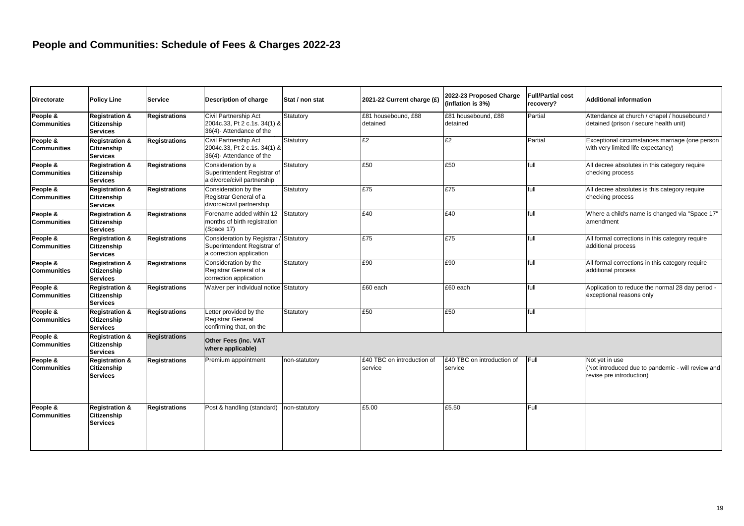| <b>Directorate</b>             | <b>Policy Line</b>                                                 | <b>Service</b>       | Description of charge                                                                        | Stat / non stat | 2021-22 Current charge (£)            | 2022-23 Proposed Charge<br>(inflation is 3%) | <b>Full/Partial cost</b><br>recovery? | Additional information                                                                          |
|--------------------------------|--------------------------------------------------------------------|----------------------|----------------------------------------------------------------------------------------------|-----------------|---------------------------------------|----------------------------------------------|---------------------------------------|-------------------------------------------------------------------------------------------------|
| People &<br><b>Communities</b> | <b>Registration &amp;</b><br>Citizenship<br><b>Services</b>        | <b>Registrations</b> | Civil Partnership Act<br>2004c.33, Pt 2 c.1s. 34(1) &<br>36(4)- Attendance of the            | Statutory       | £81 housebound, £88<br>detained       | £81 housebound, £88<br>detained              | Partial                               | Attendance at church / chapel / housebound /<br>detained (prison / secure health unit)          |
| People &<br><b>Communities</b> | <b>Registration &amp;</b><br>Citizenship<br><b>Services</b>        | <b>Registrations</b> | Civil Partnership Act<br>2004c.33, Pt 2 c.1s. 34(1) &<br>36(4)- Attendance of the            | Statutory       | £2                                    | E2                                           | Partial                               | Exceptional circumstances marriage (one person<br>with very limited life expectancy)            |
| People &<br><b>Communities</b> | <b>Registration &amp;</b><br>Citizenship<br><b>Services</b>        | <b>Registrations</b> | Consideration by a<br>Superintendent Registrar of<br>a divorce/civil partnership             | Statutory       | £50                                   | £50                                          | full                                  | All decree absolutes in this category require<br>checking process                               |
| People &<br><b>Communities</b> | <b>Registration &amp;</b><br><b>Citizenship</b><br><b>Services</b> | <b>Registrations</b> | Consideration by the<br>Registrar General of a<br>divorce/civil partnership                  | Statutory       | £75                                   | £75                                          | full                                  | All decree absolutes is this category require<br>checking process                               |
| People &<br><b>Communities</b> | <b>Registration &amp;</b><br>Citizenship<br><b>Services</b>        | <b>Registrations</b> | Forename added within 12<br>months of birth registration<br>(Space 17)                       | Statutory       | £40                                   | £40                                          | full                                  | Where a child's name is changed via "Space 17"<br>amendment                                     |
| People &<br><b>Communities</b> | <b>Registration &amp;</b><br>Citizenship<br><b>Services</b>        | <b>Registrations</b> | <b>Consideration by Registrar</b><br>Superintendent Registrar of<br>a correction application | Statutory       | E75                                   | £75                                          | full                                  | All formal corrections in this category require<br>additional process                           |
| People &<br><b>Communities</b> | <b>Registration &amp;</b><br>Citizenship<br><b>Services</b>        | <b>Registrations</b> | Consideration by the<br>Registrar General of a<br>correction application                     | Statutory       | £90                                   | £90                                          | full                                  | All formal corrections in this category require<br>additional process                           |
| People &<br><b>Communities</b> | <b>Registration &amp;</b><br><b>Citizenship</b><br><b>Services</b> | <b>Registrations</b> | Waiver per individual notice Statutory                                                       |                 | $E60$ each                            | £60 each                                     | full                                  | Application to reduce the normal 28 day period -<br>exceptional reasons only                    |
| People &<br><b>Communities</b> | <b>Registration &amp;</b><br><b>Citizenship</b><br><b>Services</b> | <b>Registrations</b> | Letter provided by the<br><b>Registrar General</b><br>confirming that, on the                | Statutory       | £50                                   | £50                                          | full                                  |                                                                                                 |
| People &<br><b>Communities</b> | <b>Registration &amp;</b><br><b>Citizenship</b><br><b>Services</b> | <b>Registrations</b> | <b>Other Fees (inc. VAT</b><br>where applicable)                                             |                 |                                       |                                              |                                       |                                                                                                 |
| People &<br><b>Communities</b> | <b>Registration &amp;</b><br>Citizenship<br><b>Services</b>        | Registrations        | Premium appointment                                                                          | non-statutory   | £40 TBC on introduction of<br>service | £40 TBC on introduction of<br>service        | Full                                  | Not vet in use<br>(Not introduced due to pandemic - will review and<br>revise pre introduction) |
| People &<br><b>Communities</b> | <b>Registration &amp;</b><br>Citizenship<br><b>Services</b>        | <b>Registrations</b> | Post & handling (standard)                                                                   | non-statutory   | £5.00                                 | £5.50                                        | Full                                  |                                                                                                 |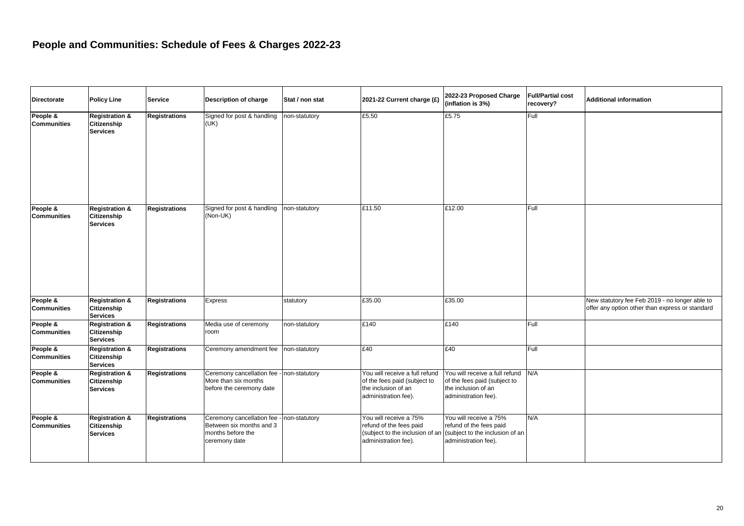| <b>Directorate</b>             | <b>Policy Line</b>                                          | <b>Service</b>       | <b>Description of charge</b>                                                                  | Stat / non stat | 2021-22 Current charge (£)                                                                                    | 2022-23 Proposed Charge<br>(inflation is 3%)                                                                  | <b>Full/Partial cost</b><br>recovery? | <b>Additional information</b>                                                                     |
|--------------------------------|-------------------------------------------------------------|----------------------|-----------------------------------------------------------------------------------------------|-----------------|---------------------------------------------------------------------------------------------------------------|---------------------------------------------------------------------------------------------------------------|---------------------------------------|---------------------------------------------------------------------------------------------------|
| People &<br><b>Communities</b> | <b>Registration &amp;</b><br>Citizenship<br><b>Services</b> | <b>Registrations</b> | Signed for post & handling<br>(UK)                                                            | non-statutory   | £5.50                                                                                                         | £5.75                                                                                                         | Full                                  |                                                                                                   |
| People &<br><b>Communities</b> | <b>Registration &amp;</b><br>Citizenship<br><b>Services</b> | <b>Registrations</b> | Signed for post & handling<br>(Non-UK)                                                        | non-statutory   | £11.50                                                                                                        | £12.00                                                                                                        | Full                                  |                                                                                                   |
| People &<br><b>Communities</b> | <b>Registration &amp;</b><br>Citizenship<br><b>Services</b> | <b>Registrations</b> | Express                                                                                       | statutory       | £35.00                                                                                                        | £35.00                                                                                                        |                                       | New statutory fee Feb 2019 - no longer able to<br>offer any option other than express or standard |
| People &<br><b>Communities</b> | <b>Registration &amp;</b><br>Citizenship<br><b>Services</b> | <b>Registrations</b> | Media use of ceremony<br>room                                                                 | non-statutory   | £140                                                                                                          | £140                                                                                                          | Full                                  |                                                                                                   |
| People &<br><b>Communities</b> | <b>Registration &amp;</b><br>Citizenship<br><b>Services</b> | <b>Registrations</b> | Ceremony amendment fee                                                                        | non-statutory   | £40                                                                                                           | £40                                                                                                           | Full                                  |                                                                                                   |
| People &<br><b>Communities</b> | <b>Registration &amp;</b><br>Citizenship<br><b>Services</b> | <b>Registrations</b> | Ceremony cancellation fee - non-statutory<br>More than six months<br>before the ceremony date |                 | You will receive a full refund<br>of the fees paid (subject to<br>the inclusion of an<br>administration fee). | You will receive a full refund<br>of the fees paid (subject to<br>the inclusion of an<br>administration fee). | N/A                                   |                                                                                                   |
| People &<br><b>Communities</b> | <b>Registration &amp;</b><br>Citizenship<br><b>Services</b> | <b>Registrations</b> | Ceremony cancellation fee -<br>Between six months and 3<br>months before the<br>ceremony date | non-statutory   | You will receive a 75%<br>refund of the fees paid<br>(subject to the inclusion of ar<br>administration fee).  | You will receive a 75%<br>refund of the fees paid<br>(subject to the inclusion of an<br>administration fee).  | N/A                                   |                                                                                                   |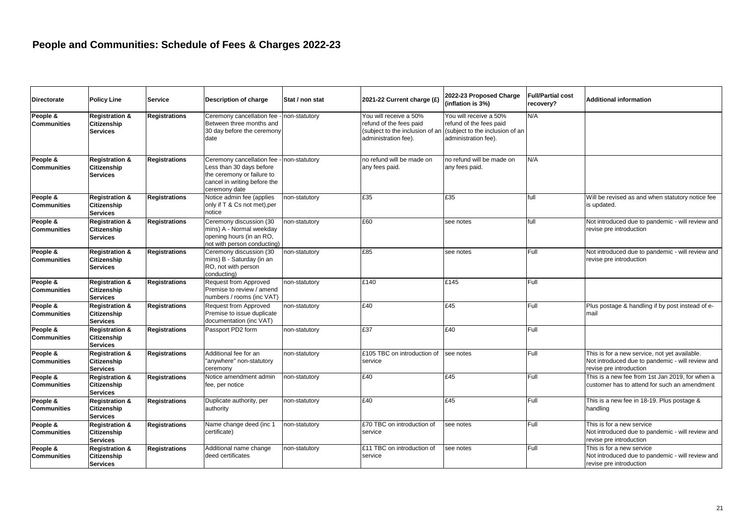| <b>Directorate</b>             | <b>Policy Line</b>                                          | <b>Service</b>       | <b>Description of charge</b>                                                                                                         | Stat / non stat      | 2021-22 Current charge (£)                                                | 2022-23 Proposed Charge<br>(inflation is 3%)                                                                                                 | <b>Full/Partial cost</b><br>recovery? | Additional information                                                                                                       |
|--------------------------------|-------------------------------------------------------------|----------------------|--------------------------------------------------------------------------------------------------------------------------------------|----------------------|---------------------------------------------------------------------------|----------------------------------------------------------------------------------------------------------------------------------------------|---------------------------------------|------------------------------------------------------------------------------------------------------------------------------|
| People &<br><b>Communities</b> | <b>Registration &amp;</b><br>Citizenship<br><b>Services</b> | Registrations        | Ceremony cancellation fee<br>Between three months and<br>30 day before the ceremony<br>date                                          | non-statutory        | You will receive a 50%<br>refund of the fees paid<br>administration fee). | You will receive a 50%<br>refund of the fees paid<br>(subject to the inclusion of an (subject to the inclusion of an<br>administration fee). | N/A                                   |                                                                                                                              |
| People &<br><b>Communities</b> | <b>Registration &amp;</b><br>Citizenship<br><b>Services</b> | Registrations        | Ceremony cancellation fee<br>Less than 30 days before<br>the ceremony or failure to<br>cancel in writing before the<br>ceremony date | non-statutory        | no refund will be made on<br>any fees paid.                               | no refund will be made on<br>any fees paid.                                                                                                  | N/A                                   |                                                                                                                              |
| People &<br><b>Communities</b> | <b>Registration &amp;</b><br>Citizenship<br><b>Services</b> | <b>Registrations</b> | Notice admin fee (applies<br>only if T & Cs not met), per<br>notice                                                                  | non-statutory        | £35                                                                       | £35                                                                                                                                          | full                                  | Will be revised as and when statutory notice fee<br>is updated.                                                              |
| People &<br><b>Communities</b> | <b>Registration &amp;</b><br>Citizenship<br><b>Services</b> | Registrations        | Ceremony discussion (30<br>mins) A - Normal weekday<br>opening hours (in an RO,<br>not with person conducting)                       | <b>non-statutory</b> | £60                                                                       | see notes                                                                                                                                    | full                                  | Not introduced due to pandemic - will review and<br>revise pre introduction                                                  |
| People &<br><b>Communities</b> | <b>Registration &amp;</b><br>Citizenship<br><b>Services</b> | <b>Registrations</b> | Ceremony discussion (30<br>mins) B - Saturday (in an<br>RO, not with person<br>conducting)                                           | non-statutory        | £85                                                                       | see notes                                                                                                                                    | Full                                  | Not introduced due to pandemic - will review and<br>revise pre introduction                                                  |
| People &<br><b>Communities</b> | <b>Registration &amp;</b><br>Citizenship<br><b>Services</b> | <b>Registrations</b> | Request from Approved<br>Premise to review / amend<br>numbers / rooms (inc VAT)                                                      | non-statutory        | £140                                                                      | £145                                                                                                                                         | Full                                  |                                                                                                                              |
| People &<br><b>Communities</b> | <b>Registration &amp;</b><br>Citizenship<br><b>Services</b> | <b>Registrations</b> | Request from Approved<br>Premise to issue duplicate<br>documentation (inc VAT)                                                       | non-statutory        | £40                                                                       | £45                                                                                                                                          | Full                                  | Plus postage & handling if by post instead of e-<br>mail                                                                     |
| People &<br><b>Communities</b> | <b>Registration &amp;</b><br>Citizenship<br><b>Services</b> | <b>Registrations</b> | Passport PD2 form                                                                                                                    | non-statutory        | £37                                                                       | £40                                                                                                                                          | Full                                  |                                                                                                                              |
| People &<br><b>Communities</b> | <b>Registration &amp;</b><br>Citizenship<br><b>Services</b> | <b>Registrations</b> | Additional fee for an<br>"anywhere" non-statutory<br>ceremony                                                                        | non-statutory        | £105 TBC on introduction of<br>service                                    | see notes                                                                                                                                    | Full                                  | This is for a new service, not yet available.<br>Not introduced due to pandemic - will review and<br>revise pre introduction |
| People &<br><b>Communities</b> | <b>Registration &amp;</b><br>Citizenship<br><b>Services</b> | <b>Registrations</b> | Notice amendment admin<br>fee, per notice                                                                                            | non-statutory        | £40                                                                       | £45                                                                                                                                          | Full                                  | This is a new fee from 1st Jan 2019, for when a<br>customer has to attend for such an amendment                              |
| People &<br><b>Communities</b> | <b>Registration &amp;</b><br>Citizenship<br><b>Services</b> | <b>Registrations</b> | Duplicate authority, per<br>authority                                                                                                | non-statutory        | £40                                                                       | £45                                                                                                                                          | Full                                  | This is a new fee in 18-19. Plus postage &<br>handling                                                                       |
| People &<br><b>Communities</b> | <b>Registration &amp;</b><br>Citizenship<br><b>Services</b> | Registrations        | Name change deed (inc 1<br>certificate)                                                                                              | non-statutory        | £70 TBC on introduction of<br>service                                     | see notes                                                                                                                                    | Full                                  | This is for a new service<br>Not introduced due to pandemic - will review and<br>revise pre introduction                     |
| People &<br><b>Communities</b> | <b>Registration &amp;</b><br>Citizenship<br><b>Services</b> | <b>Registrations</b> | Additional name change<br>deed certificates                                                                                          | non-statutory        | £11 TBC on introduction of<br>service                                     | see notes                                                                                                                                    | Full                                  | This is for a new service<br>Not introduced due to pandemic - will review and<br>revise pre introduction                     |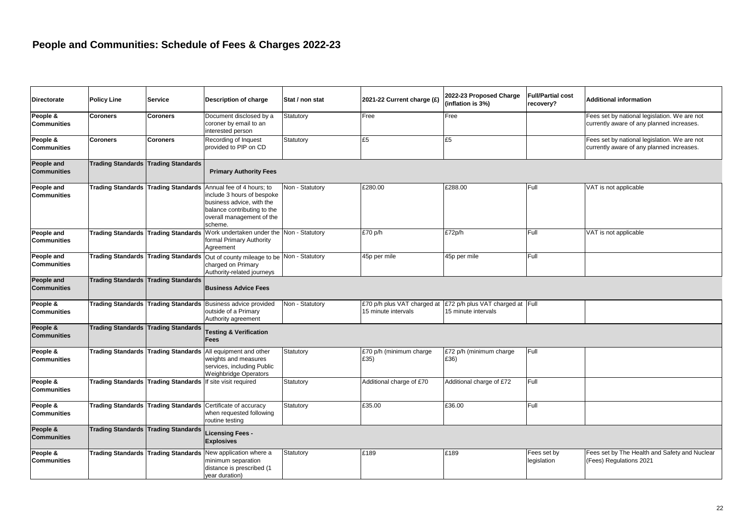| <b>Directorate</b>               | <b>Policy Line</b>       | <b>Service</b>                                             | Description of charge                                                                                                                                                                           | Stat / non stat | 2021-22 Current charge (£)                         | 2022-23 Proposed Charge<br>(inflation is 3%)            | <b>Full/Partial cost</b><br>recoverv? | <b>Additional information</b>                                                             |
|----------------------------------|--------------------------|------------------------------------------------------------|-------------------------------------------------------------------------------------------------------------------------------------------------------------------------------------------------|-----------------|----------------------------------------------------|---------------------------------------------------------|---------------------------------------|-------------------------------------------------------------------------------------------|
| People &<br>Communities          | <b>Coroners</b>          | <b>Coroners</b>                                            | Document disclosed by a<br>coroner by email to an<br>interested person                                                                                                                          | Statutory       | Free                                               | Free                                                    |                                       | Fees set by national legislation. We are not<br>currently aware of any planned increases. |
| People &<br>Communities          | <b>Coroners</b>          | <b>Coroners</b>                                            | Recording of Inquest<br>provided to PIP on CD                                                                                                                                                   | Statutory       | £5                                                 | £5                                                      |                                       | Fees set by national legislation. We are not<br>currently aware of any planned increases. |
| People and<br><b>Communities</b> |                          | Trading Standards Trading Standards                        | <b>Primary Authority Fees</b>                                                                                                                                                                   |                 |                                                    |                                                         |                                       |                                                                                           |
| People and<br><b>Communities</b> |                          |                                                            | Trading Standards Trading Standards Annual fee of 4 hours; to<br>include 3 hours of bespoke<br>business advice, with the<br>balance contributing to the<br>overall management of the<br>scheme. | Non - Statutory | £280.00                                            | £288.00                                                 | Full                                  | VAT is not applicable                                                                     |
| People and<br><b>Communities</b> |                          |                                                            | Trading Standards Trading Standards Work undertaken under the Non - Statutory<br>formal Primary Authority<br>Agreement                                                                          |                 | £70 p/h                                            | £72p/h                                                  | Full                                  | VAT is not applicable                                                                     |
| People and<br><b>Communities</b> | <b>Trading Standards</b> |                                                            | Trading Standards Out of county mileage to be<br>charged on Primary<br>Authority-related journeys                                                                                               | Non - Statutory | 45p per mile                                       | 45p per mile                                            | Full                                  |                                                                                           |
| People and<br><b>Communities</b> |                          | Trading Standards Trading Standards                        | <b>Business Advice Fees</b>                                                                                                                                                                     |                 |                                                    |                                                         |                                       |                                                                                           |
| People &<br><b>Communities</b>   |                          |                                                            | Trading Standards Trading Standards Business advice provided<br>outside of a Primary<br>Authority agreement                                                                                     | Non - Statutory | £70 p/h plus VAT charged at<br>15 minute intervals | £72 p/h plus VAT charged at Full<br>15 minute intervals |                                       |                                                                                           |
| People &<br><b>Communities</b>   | <b>Trading Standards</b> | <b>Trading Standards</b>                                   | <b>Testing &amp; Verification</b><br>Fees                                                                                                                                                       |                 |                                                    |                                                         |                                       |                                                                                           |
| People &<br><b>Communities</b>   |                          |                                                            | Trading Standards Trading Standards All equipment and other<br>weights and measures<br>services, including Public<br><b>Weighbridge Operators</b>                                               | Statutory       | £70 p/h (minimum charge<br>£35)                    | £72 p/h (minimum charge<br>£36)                         | Full                                  |                                                                                           |
| People &<br>Communities          |                          | Trading Standards Trading Standards If site visit required |                                                                                                                                                                                                 | Statutory       | Additional charge of £70                           | Additional charge of £72                                | Full                                  |                                                                                           |
| People &<br><b>Communities</b>   |                          |                                                            | Trading Standards Trading Standards Certificate of accuracy<br>when requested following<br>routine testing                                                                                      | Statutory       | £35.00                                             | £36.00                                                  | Full                                  |                                                                                           |
| People &<br><b>Communities</b>   |                          | <b>Trading Standards Trading Standards</b>                 | <b>Licensing Fees -</b><br><b>Explosives</b>                                                                                                                                                    |                 |                                                    |                                                         |                                       |                                                                                           |
| People &<br>Communities          | <b>Trading Standards</b> |                                                            | Trading Standards New application where a<br>minimum separation<br>distance is prescribed (1<br>year duration)                                                                                  | Statutory       | £189                                               | £189                                                    | Fees set by<br>legislation            | Fees set by The Health and Safety and Nuclear<br>(Fees) Regulations 2021                  |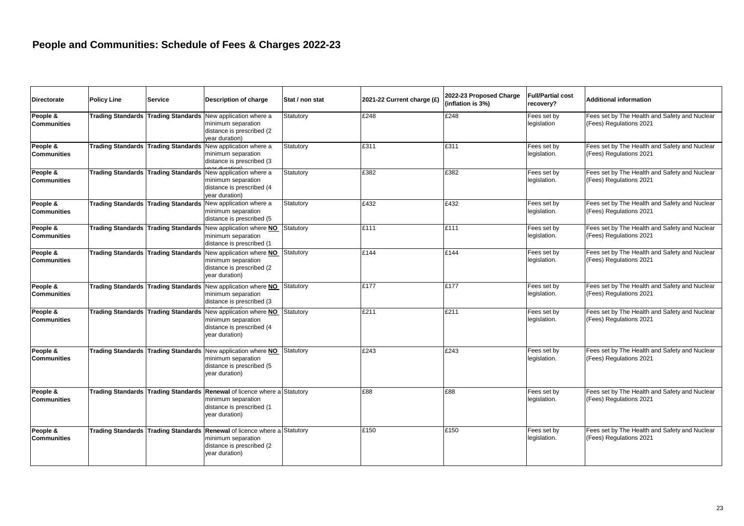| <b>Directorate</b>             | <b>Policy Line</b>       | <b>Service</b> | Description of charge                                                                                                                          | Stat / non stat | 2021-22 Current charge (£) | 2022-23 Proposed Charge<br>(inflation is 3%) | <b>Full/Partial cost</b><br>recovery? | <b>Additional information</b>                                            |
|--------------------------------|--------------------------|----------------|------------------------------------------------------------------------------------------------------------------------------------------------|-----------------|----------------------------|----------------------------------------------|---------------------------------------|--------------------------------------------------------------------------|
| People &<br><b>Communities</b> | <b>Trading Standards</b> |                | Trading Standards New application where a<br>minimum separation<br>distance is prescribed (2)<br>year duration)                                | Statutory       | £248                       | £248                                         | Fees set by<br>legislation            | Fees set by The Health and Safety and Nuclear<br>(Fees) Regulations 2021 |
| People &<br><b>Communities</b> |                          |                | Trading Standards Trading Standards New application where a<br>minimum separation<br>distance is prescribed (3                                 | Statutory       | £311                       | £311                                         | Fees set by<br>legislation.           | Fees set by The Health and Safety and Nuclear<br>(Fees) Regulations 2021 |
| People &<br><b>Communities</b> |                          |                | Trading Standards Trading Standards New application where a<br>minimum separation<br>distance is prescribed (4<br>year duration)               | Statutory       | £382                       | £382                                         | Fees set by<br>legislation.           | Fees set by The Health and Safety and Nuclear<br>(Fees) Regulations 2021 |
| People &<br><b>Communities</b> |                          |                | Trading Standards Trading Standards New application where a<br>minimum separation<br>distance is prescribed (5                                 | Statutory       | £432                       | £432                                         | Fees set by<br>legislation.           | Fees set by The Health and Safety and Nuclear<br>(Fees) Regulations 2021 |
| People &<br><b>Communities</b> |                          |                | Trading Standards Trading Standards New application where NO<br>minimum separation<br>distance is prescribed (1                                | Statutory       | £111                       | £111                                         | Fees set by<br>legislation.           | Fees set by The Health and Safety and Nuclear<br>(Fees) Regulations 2021 |
| People &<br><b>Communities</b> |                          |                | Trading Standards Trading Standards New application where NO<br>minimum separation<br>distance is prescribed (2)<br>year duration)             | Statutory       | £144                       | £144                                         | Fees set by<br>legislation.           | Fees set by The Health and Safety and Nuclear<br>(Fees) Regulations 2021 |
| People &<br><b>Communities</b> | <b>Trading Standards</b> |                | Trading Standards New application where NO<br>minimum separation<br>distance is prescribed (3                                                  | Statutory       | £177                       | £177                                         | Fees set by<br>legislation.           | Fees set by The Health and Safety and Nuclear<br>(Fees) Regulations 2021 |
| People &<br><b>Communities</b> |                          |                | Trading Standards Trading Standards New application where NO<br>minimum separation<br>distance is prescribed (4<br>year duration)              | Statutory       | £211                       | £211                                         | Fees set by<br>legislation.           | Fees set by The Health and Safety and Nuclear<br>(Fees) Regulations 2021 |
| People &<br><b>Communities</b> |                          |                | Trading Standards Trading Standards New application where NO<br>minimum separation<br>distance is prescribed (5<br>year duration)              | Statutory       | £243                       | £243                                         | Fees set by<br>legislation.           | Fees set by The Health and Safety and Nuclear<br>(Fees) Regulations 2021 |
| People &<br><b>Communities</b> |                          |                | Trading Standards Trading Standards Renewal of licence where a Statutory<br>minimum separation<br>distance is prescribed (1<br>year duration)  |                 | £88                        | £88                                          | Fees set by<br>legislation.           | Fees set by The Health and Safety and Nuclear<br>(Fees) Regulations 2021 |
| People &<br><b>Communities</b> |                          |                | Trading Standards Trading Standards Renewal of licence where a Statutory<br>minimum separation<br>distance is prescribed (2)<br>year duration) |                 | £150                       | £150                                         | Fees set by<br>legislation.           | Fees set by The Health and Safety and Nuclear<br>(Fees) Regulations 2021 |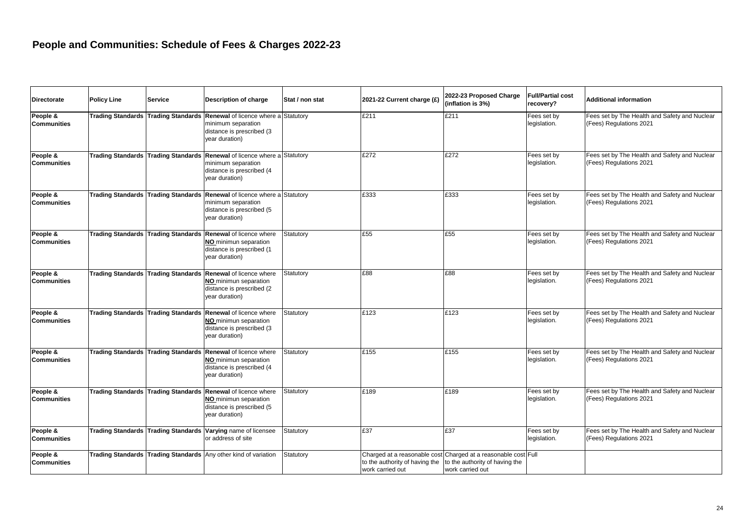| <b>Directorate</b>             | <b>Policy Line</b>       | <b>Service</b> | Description of charge                                                                                                                         | Stat / non stat | 2021-22 Current charge (£) | 2022-23 Proposed Charge<br>(inflation is 3%)                                                                                                                | <b>Full/Partial cost</b><br>recovery? | <b>Additional information</b>                                            |
|--------------------------------|--------------------------|----------------|-----------------------------------------------------------------------------------------------------------------------------------------------|-----------------|----------------------------|-------------------------------------------------------------------------------------------------------------------------------------------------------------|---------------------------------------|--------------------------------------------------------------------------|
| People &<br><b>Communities</b> | <b>Trading Standards</b> |                | Trading Standards Renewal of licence where a Statutory<br>minimum separation<br>distance is prescribed (3<br>year duration)                   |                 | £211                       | £211                                                                                                                                                        | Fees set by<br>legislation.           | Fees set by The Health and Safety and Nuclear<br>(Fees) Regulations 2021 |
| People &<br><b>Communities</b> |                          |                | Trading Standards Trading Standards Renewal of licence where a Statutory<br>minimum separation<br>distance is prescribed (4<br>year duration) |                 | £272                       | £272                                                                                                                                                        | Fees set by<br>legislation.           | Fees set by The Health and Safety and Nuclear<br>(Fees) Regulations 2021 |
| People &<br><b>Communities</b> |                          |                | Trading Standards Trading Standards Renewal of licence where a Statutory<br>minimum separation<br>distance is prescribed (5<br>year duration) |                 | £333                       | £333                                                                                                                                                        | Fees set by<br>legislation.           | Fees set by The Health and Safety and Nuclear<br>(Fees) Regulations 2021 |
| People &<br><b>Communities</b> |                          |                | Trading Standards Trading Standards Renewal of licence where<br>NO minimun separation<br>distance is prescribed (1<br>year duration)          | Statutory       | £55                        | £55                                                                                                                                                         | Fees set by<br>legislation.           | Fees set by The Health and Safety and Nuclear<br>(Fees) Regulations 2021 |
| People &<br><b>Communities</b> |                          |                | Trading Standards Trading Standards Renewal of licence where<br>NO minimun separation<br>distance is prescribed (2)<br>year duration)         | Statutory       | £88                        | £88                                                                                                                                                         | Fees set by<br>legislation.           | Fees set by The Health and Safety and Nuclear<br>(Fees) Regulations 2021 |
| People &<br><b>Communities</b> |                          |                | Trading Standards Trading Standards Renewal of licence where<br>NO minimun separation<br>distance is prescribed (3<br>year duration)          | Statutory       | £123                       | £123                                                                                                                                                        | Fees set by<br>legislation.           | Fees set by The Health and Safety and Nuclear<br>(Fees) Regulations 2021 |
| People &<br><b>Communities</b> |                          |                | Trading Standards Trading Standards Renewal of licence where<br>NO minimun separation<br>distance is prescribed (4<br>year duration)          | Statutory       | £155                       | £155                                                                                                                                                        | Fees set by<br>legislation.           | Fees set by The Health and Safety and Nuclear<br>(Fees) Regulations 2021 |
| People &<br><b>Communities</b> |                          |                | Trading Standards Trading Standards Renewal of licence where<br>NO minimun separation<br>distance is prescribed (5<br>year duration)          | Statutory       | £189                       | £189                                                                                                                                                        | Fees set by<br>legislation.           | Fees set by The Health and Safety and Nuclear<br>(Fees) Regulations 2021 |
| People &<br><b>Communities</b> |                          |                | Trading Standards Trading Standards Varying name of licensee<br>or address of site                                                            | Statutory       | £37                        | £37                                                                                                                                                         | Fees set by<br>legislation.           | Fees set by The Health and Safety and Nuclear<br>(Fees) Regulations 2021 |
| People &<br><b>Communities</b> |                          |                | Trading Standards Trading Standards Any other kind of variation                                                                               | Statutory       | work carried out           | Charged at a reasonable cost Charged at a reasonable cost Full<br>to the authority of having the $\vert$ to the authority of having the<br>work carried out |                                       |                                                                          |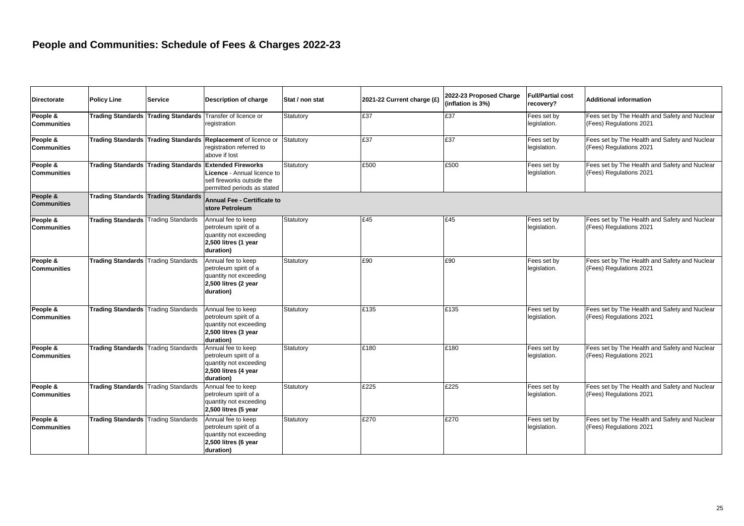| <b>Directorate</b>             | <b>Policy Line</b>                         | <b>Service</b>           | Description of charge                                                                                                            | Stat / non stat | 2021-22 Current charge (£) | 2022-23 Proposed Charge<br>(inflation is 3%) | <b>Full/Partial cost</b><br>recovery? | <b>Additional information</b>                                            |
|--------------------------------|--------------------------------------------|--------------------------|----------------------------------------------------------------------------------------------------------------------------------|-----------------|----------------------------|----------------------------------------------|---------------------------------------|--------------------------------------------------------------------------|
| People &<br><b>Communities</b> | <b>Trading Standards</b>                   | <b>Trading Standards</b> | Transfer of licence or<br>registration                                                                                           | Statutory       | £37                        | £37                                          | Fees set by<br>legislation.           | Fees set by The Health and Safety and Nuclear<br>(Fees) Regulations 2021 |
| People &<br><b>Communities</b> |                                            |                          | Trading Standards Trading Standards Replacement of licence or<br>registration referred to<br>above if lost                       | Statutory       | £37                        | E37                                          | Fees set by<br>legislation.           | Fees set by The Health and Safety and Nuclear<br>(Fees) Regulations 2021 |
| People &<br><b>Communities</b> | <b>Trading Standards</b>                   |                          | Trading Standards Extended Fireworks<br>Licence - Annual licence to<br>sell fireworks outside the<br>permitted periods as stated | Statutory       | £500                       | £500                                         | Fees set by<br>legislation.           | Fees set by The Health and Safety and Nuclear<br>(Fees) Regulations 2021 |
| People &<br><b>Communities</b> | <b>Trading Standards</b>                   | <b>Trading Standards</b> | <b>Annual Fee - Certificate to</b><br>store Petroleum                                                                            |                 |                            |                                              |                                       |                                                                          |
| People &<br><b>Communities</b> | <b>Trading Standards</b>                   | <b>Trading Standards</b> | Annual fee to keep<br>petroleum spirit of a<br>quantity not exceeding<br>2,500 litres (1 year<br>duration)                       | Statutory       | £45                        | £45                                          | Fees set by<br>legislation.           | Fees set by The Health and Safety and Nuclear<br>(Fees) Regulations 2021 |
| People &<br><b>Communities</b> | <b>Trading Standards</b>                   | <b>Trading Standards</b> | Annual fee to keep<br>petroleum spirit of a<br>quantity not exceeding<br>2,500 litres (2 year<br>duration)                       | Statutory       | £90                        | £90                                          | Fees set by<br>legislation.           | Fees set by The Health and Safety and Nuclear<br>(Fees) Regulations 2021 |
| People &<br><b>Communities</b> | <b>Trading Standards</b>                   | <b>Trading Standards</b> | Annual fee to keep<br>petroleum spirit of a<br>quantity not exceeding<br>2,500 litres (3 year<br>duration)                       | Statutory       | £135                       | £135                                         | Fees set by<br>legislation.           | Fees set by The Health and Safety and Nuclear<br>(Fees) Regulations 2021 |
| People &<br><b>Communities</b> | <b>Trading Standards</b>                   | <b>Trading Standards</b> | Annual fee to keep<br>petroleum spirit of a<br>quantity not exceeding<br>2,500 litres (4 year<br>duration)                       | Statutory       | £180                       | £180                                         | Fees set by<br>legislation.           | Fees set by The Health and Safety and Nuclear<br>(Fees) Regulations 2021 |
| People &<br><b>Communities</b> | <b>Trading Standards Trading Standards</b> |                          | Annual fee to keep<br>petroleum spirit of a<br>quantity not exceeding<br>2,500 litres (5 year                                    | Statutory       | £225                       | £225                                         | Fees set by<br>legislation.           | Fees set by The Health and Safety and Nuclear<br>(Fees) Regulations 2021 |
| People &<br><b>Communities</b> | <b>Trading Standards</b>                   | <b>Trading Standards</b> | Annual fee to keep<br>petroleum spirit of a<br>quantity not exceeding<br>2,500 litres (6 year<br>duration)                       | Statutory       | £270                       | £270                                         | Fees set by<br>legislation.           | Fees set by The Health and Safety and Nuclear<br>(Fees) Regulations 2021 |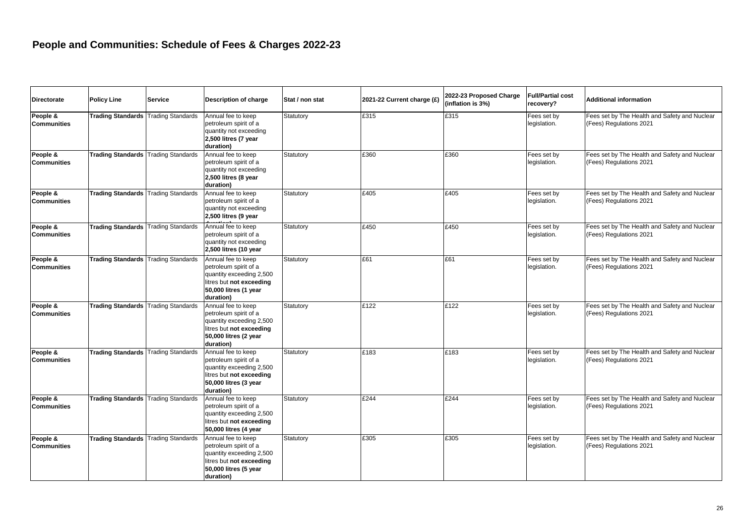| <b>Directorate</b>             | <b>Policy Line</b>                         | <b>Service</b>           | <b>Description of charge</b>                                                                                                              | Stat / non stat | 2021-22 Current charge (£) | 2022-23 Proposed Charge<br>(inflation is 3%) | <b>Full/Partial cost</b><br>recovery? | Additional information                                                   |
|--------------------------------|--------------------------------------------|--------------------------|-------------------------------------------------------------------------------------------------------------------------------------------|-----------------|----------------------------|----------------------------------------------|---------------------------------------|--------------------------------------------------------------------------|
| People &<br><b>Communities</b> | <b>Trading Standards</b>                   | <b>Trading Standards</b> | Annual fee to keep<br>petroleum spirit of a<br>quantity not exceeding<br>2,500 litres (7 year<br>duration)                                | Statutory       | £315                       | £315                                         | Fees set by<br>legislation.           | Fees set by The Health and Safety and Nuclear<br>(Fees) Regulations 2021 |
| People &<br><b>Communities</b> | <b>Trading Standards</b>                   | <b>Trading Standards</b> | Annual fee to keep<br>petroleum spirit of a<br>quantity not exceeding<br>2,500 litres (8 year<br>duration)                                | Statutory       | £360                       | £360                                         | Fees set by<br>legislation.           | Fees set by The Health and Safety and Nuclear<br>(Fees) Regulations 2021 |
| People &<br><b>Communities</b> | <b>Trading Standards</b>                   | <b>Trading Standards</b> | Annual fee to keep<br>petroleum spirit of a<br>quantity not exceeding<br>2,500 litres (9 year                                             | Statutory       | £405                       | £405                                         | Fees set by<br>legislation.           | Fees set by The Health and Safety and Nuclear<br>(Fees) Regulations 2021 |
| People &<br><b>Communities</b> | <b>Trading Standards Trading Standards</b> |                          | Annual fee to keep<br>petroleum spirit of a<br>quantity not exceeding<br>2,500 litres (10 year                                            | Statutory       | £450                       | £450                                         | Fees set by<br>legislation.           | Fees set by The Health and Safety and Nuclear<br>(Fees) Regulations 2021 |
| People &<br><b>Communities</b> | <b>Trading Standards</b>                   | <b>Trading Standards</b> | Annual fee to keep<br>petroleum spirit of a<br>quantity exceeding 2,500<br>litres but not exceeding<br>50,000 litres (1 year<br>duration) | Statutory       | £61                        | £61                                          | Fees set by<br>legislation.           | Fees set by The Health and Safety and Nuclear<br>(Fees) Regulations 2021 |
| People &<br><b>Communities</b> | <b>Trading Standards Trading Standards</b> |                          | Annual fee to keep<br>petroleum spirit of a<br>quantity exceeding 2,500<br>litres but not exceeding<br>50,000 litres (2 year<br>duration) | Statutory       | £122                       | £122                                         | Fees set by<br>legislation.           | Fees set by The Health and Safety and Nuclear<br>(Fees) Regulations 2021 |
| People &<br><b>Communities</b> | <b>Trading Standards</b>                   | <b>Trading Standards</b> | Annual fee to keep<br>petroleum spirit of a<br>quantity exceeding 2,500<br>litres but not exceeding<br>50,000 litres (3 year<br>duration) | Statutory       | £183                       | £183                                         | Fees set by<br>legislation.           | Fees set by The Health and Safety and Nuclear<br>(Fees) Regulations 2021 |
| People &<br><b>Communities</b> | <b>Trading Standards</b>                   | <b>Trading Standards</b> | Annual fee to keep<br>petroleum spirit of a<br>quantity exceeding 2,500<br>litres but not exceeding<br>50,000 litres (4 year              | Statutory       | £244                       | £244                                         | Fees set by<br>legislation.           | Fees set by The Health and Safety and Nuclear<br>(Fees) Regulations 2021 |
| People &<br><b>Communities</b> | <b>Trading Standards Trading Standards</b> |                          | Annual fee to keep<br>petroleum spirit of a<br>quantity exceeding 2,500<br>litres but not exceeding<br>50,000 litres (5 year<br>duration) | Statutory       | £305                       | £305                                         | Fees set by<br>legislation.           | Fees set by The Health and Safety and Nuclear<br>(Fees) Regulations 2021 |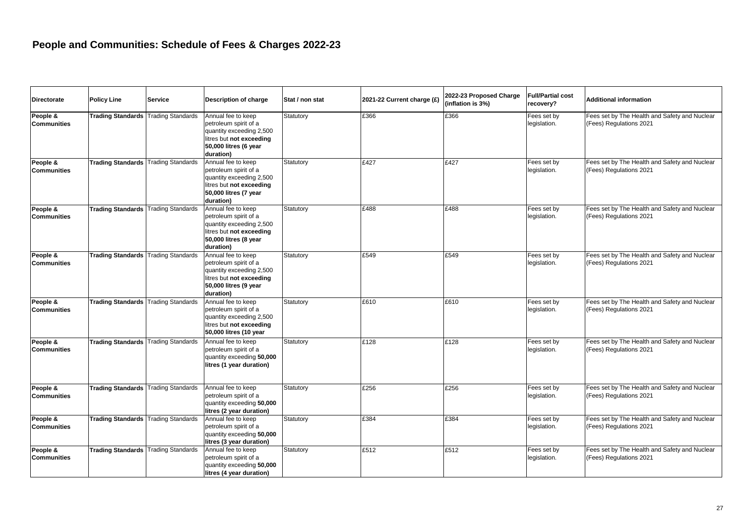| <b>Directorate</b>             | <b>Policy Line</b>                         | <b>Service</b>           | Description of charge                                                                                                                     | Stat / non stat | 2021-22 Current charge (£) | 2022-23 Proposed Charge<br>(inflation is 3%) | <b>Full/Partial cost</b><br>recovery? | <b>Additional information</b>                                            |
|--------------------------------|--------------------------------------------|--------------------------|-------------------------------------------------------------------------------------------------------------------------------------------|-----------------|----------------------------|----------------------------------------------|---------------------------------------|--------------------------------------------------------------------------|
| People &<br><b>Communities</b> | <b>Trading Standards</b>                   | <b>Trading Standards</b> | Annual fee to keep<br>petroleum spirit of a<br>quantity exceeding 2,500<br>litres but not exceeding<br>50,000 litres (6 year<br>duration) | Statutory       | £366                       | £366                                         | Fees set by<br>legislation.           | Fees set by The Health and Safety and Nuclear<br>(Fees) Regulations 2021 |
| People &<br><b>Communities</b> | <b>Trading Standards Trading Standards</b> |                          | Annual fee to keep<br>petroleum spirit of a<br>quantity exceeding 2,500<br>litres but not exceeding<br>50,000 litres (7 year<br>duration) | Statutory       | £427                       | £427                                         | Fees set by<br>legislation.           | Fees set by The Health and Safety and Nuclear<br>(Fees) Regulations 2021 |
| People &<br><b>Communities</b> | <b>Trading Standards</b>                   | <b>Trading Standards</b> | Annual fee to keep<br>petroleum spirit of a<br>quantity exceeding 2,500<br>litres but not exceeding<br>50,000 litres (8 year<br>duration) | Statutory       | £488                       | £488                                         | Fees set by<br>legislation.           | Fees set by The Health and Safety and Nuclear<br>(Fees) Regulations 2021 |
| People &<br><b>Communities</b> | <b>Trading Standards</b>                   | <b>Trading Standards</b> | Annual fee to keep<br>petroleum spirit of a<br>quantity exceeding 2,500<br>litres but not exceeding<br>50,000 litres (9 year<br>duration) | Statutory       | £549                       | £549                                         | Fees set by<br>legislation.           | Fees set by The Health and Safety and Nuclear<br>(Fees) Regulations 2021 |
| People &<br><b>Communities</b> | <b>Trading Standards</b>                   | <b>Trading Standards</b> | Annual fee to keep<br>petroleum spirit of a<br>quantity exceeding 2,500<br>litres but not exceeding<br>50,000 litres (10 year             | Statutory       | £610                       | £610                                         | Fees set by<br>legislation.           | Fees set by The Health and Safety and Nuclear<br>(Fees) Regulations 2021 |
| People &<br><b>Communities</b> | <b>Trading Standards</b>                   | <b>Trading Standards</b> | Annual fee to keep<br>petroleum spirit of a<br>quantity exceeding 50,000<br>litres (1 year duration)                                      | Statutory       | £128                       | £128                                         | Fees set by<br>legislation.           | Fees set by The Health and Safety and Nuclear<br>(Fees) Regulations 2021 |
| People &<br><b>Communities</b> | <b>Trading Standards</b>                   | <b>Trading Standards</b> | Annual fee to keep<br>petroleum spirit of a<br>quantity exceeding 50,000<br>litres (2 year duration)                                      | Statutory       | £256                       | £256                                         | Fees set by<br>legislation.           | Fees set by The Health and Safety and Nuclear<br>(Fees) Regulations 2021 |
| People &<br><b>Communities</b> | <b>Trading Standards Trading Standards</b> |                          | Annual fee to keep<br>petroleum spirit of a<br>quantity exceeding 50,000<br>litres (3 year duration)                                      | Statutory       | £384                       | £384                                         | Fees set by<br>legislation.           | Fees set by The Health and Safety and Nuclear<br>(Fees) Regulations 2021 |
| People &<br><b>Communities</b> | <b>Trading Standards Trading Standards</b> |                          | Annual fee to keep<br>petroleum spirit of a<br>quantity exceeding 50,000<br>litres (4 year duration)                                      | Statutory       | £512                       | £512                                         | Fees set by<br>legislation.           | Fees set by The Health and Safety and Nuclear<br>(Fees) Regulations 2021 |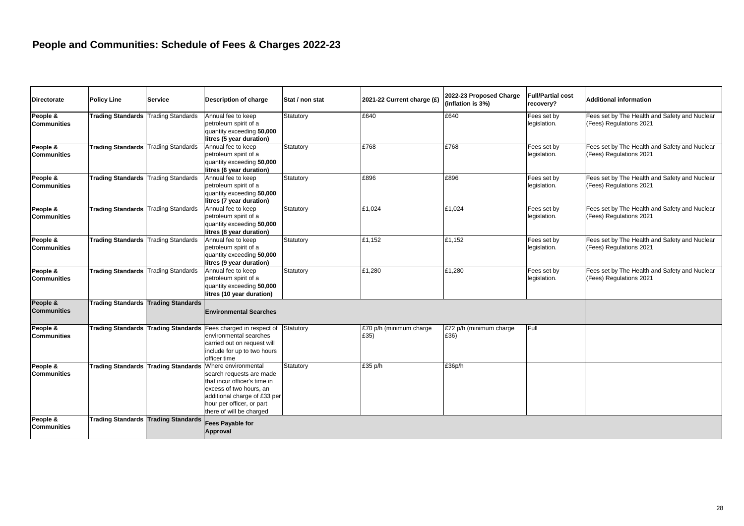| <b>Directorate</b>             | <b>Policy Line</b>                         | <b>Service</b>           | Description of charge                                                                                                                                                                                                   | Stat / non stat | 2021-22 Current charge (£)      | 2022-23 Proposed Charge<br>(inflation is 3%) | <b>Full/Partial cost</b><br>recovery? | Additional information                                                   |
|--------------------------------|--------------------------------------------|--------------------------|-------------------------------------------------------------------------------------------------------------------------------------------------------------------------------------------------------------------------|-----------------|---------------------------------|----------------------------------------------|---------------------------------------|--------------------------------------------------------------------------|
| People &<br>Communities        | <b>Trading Standards</b>                   | <b>Trading Standards</b> | Annual fee to keep<br>petroleum spirit of a<br>quantity exceeding 50,000<br>litres (5 year duration)                                                                                                                    | Statutory       | £640                            | £640                                         | Fees set by<br>legislation.           | Fees set by The Health and Safety and Nuclear<br>(Fees) Regulations 2021 |
| People &<br><b>Communities</b> | <b>Trading Standards Trading Standards</b> |                          | Annual fee to keep<br>petroleum spirit of a<br>quantity exceeding 50,000<br>litres (6 year duration)                                                                                                                    | Statutory       | £768                            | £768                                         | Fees set by<br>legislation.           | Fees set by The Health and Safety and Nuclear<br>(Fees) Regulations 2021 |
| People &<br>Communities        | <b>Trading Standards</b> Trading Standards |                          | Annual fee to keep<br>petroleum spirit of a<br>quantity exceeding 50,000<br>litres (7 year duration)                                                                                                                    | Statutory       | £896                            | £896                                         | Fees set by<br>legislation.           | Fees set by The Health and Safety and Nuclear<br>(Fees) Regulations 2021 |
| People &<br><b>Communities</b> | <b>Trading Standards</b>                   | <b>Trading Standards</b> | Annual fee to keep<br>petroleum spirit of a<br>quantity exceeding 50,000<br>litres (8 year duration)                                                                                                                    | Statutory       | £1,024                          | £1,024                                       | Fees set by<br>legislation.           | Fees set by The Health and Safety and Nuclear<br>(Fees) Regulations 2021 |
| People &<br><b>Communities</b> | <b>Trading Standards</b>                   | <b>Trading Standards</b> | Annual fee to keep<br>petroleum spirit of a<br>quantity exceeding 50,000<br>litres (9 year duration)                                                                                                                    | Statutory       | £1,152                          | £1,152                                       | Fees set by<br>legislation.           | Fees set by The Health and Safety and Nuclear<br>(Fees) Regulations 2021 |
| People &<br><b>Communities</b> | <b>Trading Standards</b>                   | <b>Trading Standards</b> | Annual fee to keep<br>petroleum spirit of a<br>quantity exceeding 50,000<br>litres (10 year duration)                                                                                                                   | Statutory       | £1,280                          | £1,280                                       | Fees set by<br>legislation.           | Fees set by The Health and Safety and Nuclear<br>(Fees) Regulations 2021 |
| People &<br><b>Communities</b> | <b>Trading Standards</b>                   | <b>Trading Standards</b> | <b>Environmental Searches</b>                                                                                                                                                                                           |                 |                                 |                                              |                                       |                                                                          |
| People &<br><b>Communities</b> | <b>Trading Standards</b>                   | <b>Trading Standards</b> | Fees charged in respect of<br>environmental searches<br>carried out on request will<br>include for up to two hours<br>officer time                                                                                      | Statutory       | £70 p/h (minimum charge<br>£35) | £72 p/h (minimum charge<br>£36)              | Full                                  |                                                                          |
| People &<br><b>Communities</b> | <b>Trading Standards</b>                   |                          | Trading Standards   Where environmental<br>search requests are made<br>that incur officer's time in<br>excess of two hours, an<br>additional charge of £33 per<br>hour per officer, or part<br>there of will be charged | Statutory       | £35 p/h                         | £36p/h                                       |                                       |                                                                          |
| People &<br><b>Communities</b> | <b>Trading Standards</b>                   | <b>Trading Standards</b> | Fees Payable for<br>Approval                                                                                                                                                                                            |                 |                                 |                                              |                                       |                                                                          |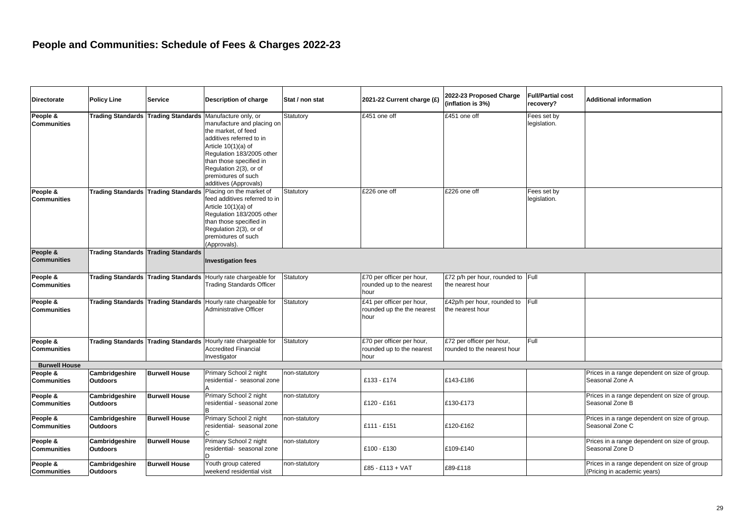| <b>Directorate</b>             | Policy Line                                | Service                             | Description of charge                                                                                                                                                                                                                                          | Stat / non stat | 2021-22 Current charge (£)                                      | 2022-23 Proposed Charge<br>(inflation is 3%)             | <b>Full/Partial cost</b><br>recovery? | <b>Additional information</b>                                               |
|--------------------------------|--------------------------------------------|-------------------------------------|----------------------------------------------------------------------------------------------------------------------------------------------------------------------------------------------------------------------------------------------------------------|-----------------|-----------------------------------------------------------------|----------------------------------------------------------|---------------------------------------|-----------------------------------------------------------------------------|
| People &<br><b>Communities</b> | Trading Standards Trading Standards        |                                     | Manufacture only, or<br>manufacture and placing on<br>the market, of feed<br>additives referred to in<br>Article 10(1)(a) of<br>Regulation 183/2005 other<br>than those specified in<br>Regulation 2(3), or of<br>premixtures of such<br>additives (Approvals) | Statutory       | £451 one off                                                    | £451 one off                                             | Fees set by<br>legislation.           |                                                                             |
| People &<br><b>Communities</b> | Trading Standards Trading Standards        |                                     | Placing on the market of<br>feed additives referred to in<br>Article 10(1)(a) of<br>Regulation 183/2005 other<br>than those specified in<br>Regulation 2(3), or of<br>premixtures of such<br>(Approvals).                                                      | Statutory       | £226 one off                                                    | £226 one off                                             | Fees set by<br>legislation.           |                                                                             |
| People &<br><b>Communities</b> | <b>Trading Standards Trading Standards</b> |                                     | <b>Investigation fees</b>                                                                                                                                                                                                                                      |                 |                                                                 |                                                          |                                       |                                                                             |
| People &<br>Communities        | <b>Trading Standards Trading Standards</b> |                                     | Hourly rate chargeable for<br><b>Trading Standards Officer</b>                                                                                                                                                                                                 | Statutory       | £70 per officer per hour,<br>rounded up to the nearest<br>hour  | £72 p/h per hour, rounded to Full<br>the nearest hour    |                                       |                                                                             |
| People &<br><b>Communities</b> |                                            | Trading Standards Trading Standards | Hourly rate chargeable for<br><b>Administrative Officer</b>                                                                                                                                                                                                    | Statutory       | £41 per officer per hour,<br>rounded up the the nearest<br>hour | £42p/h per hour, rounded to<br>the nearest hour          | Full                                  |                                                                             |
| People &<br>Communities        |                                            |                                     | Trading Standards Trading Standards Hourly rate chargeable for<br><b>Accredited Financial</b><br>Investigator                                                                                                                                                  | Statutory       | £70 per officer per hour,<br>rounded up to the nearest<br>hour  | £72 per officer per hour,<br>rounded to the nearest hour | Full                                  |                                                                             |
| <b>Burwell House</b>           |                                            |                                     |                                                                                                                                                                                                                                                                |                 |                                                                 |                                                          |                                       |                                                                             |
| People &<br><b>Communities</b> | Cambridgeshire<br><b>Outdoors</b>          | <b>Burwell House</b>                | Primary School 2 night<br>residential - seasonal zone                                                                                                                                                                                                          | non-statutory   | £133 - £174                                                     | £143-£186                                                |                                       | Prices in a range dependent on size of group.<br>Seasonal Zone A            |
| People &<br><b>Communities</b> | Cambridgeshire<br><b>Outdoors</b>          | <b>Burwell House</b>                | Primary School 2 night<br>residential - seasonal zone                                                                                                                                                                                                          | non-statutory   | £120 - £161                                                     | £130-£173                                                |                                       | Prices in a range dependent on size of group.<br>Seasonal Zone B            |
| People &<br><b>Communities</b> | Cambridgeshire<br>Outdoors                 | <b>Burwell House</b>                | Primary School 2 night<br>residential- seasonal zone                                                                                                                                                                                                           | non-statutory   | £111 - £151                                                     | £120-£162                                                |                                       | Prices in a range dependent on size of group.<br>Seasonal Zone C            |
| People &<br><b>Communities</b> | Cambridgeshire<br><b>Outdoors</b>          | <b>Burwell House</b>                | Primary School 2 night<br>residential- seasonal zone                                                                                                                                                                                                           | non-statutory   | £100 - £130                                                     | £109-£140                                                |                                       | Prices in a range dependent on size of group.<br>Seasonal Zone D            |
| People &<br><b>Communities</b> | Cambridgeshire<br><b>Outdoors</b>          | <b>Burwell House</b>                | Youth group catered<br>weekend residential visit                                                                                                                                                                                                               | non-statutory   | £85 - £113 + VAT                                                | £89-£118                                                 |                                       | Prices in a range dependent on size of group<br>(Pricing in academic years) |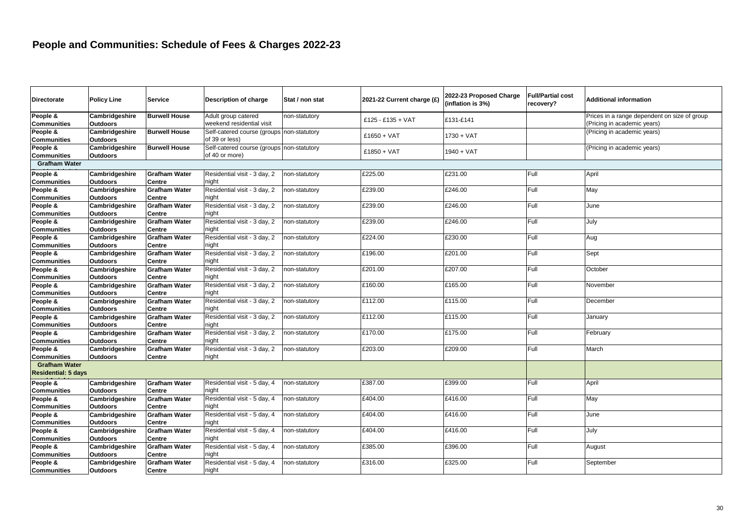| <b>Directorate</b>                                 | <b>Policy Line</b>                | <b>Service</b>                 | Description of charge                                         | Stat / non stat | 2021-22 Current charge (£) | 2022-23 Proposed Charge<br>(inflation is 3%) | <b>Full/Partial cost</b><br>recovery? | <b>Additional information</b>                                               |
|----------------------------------------------------|-----------------------------------|--------------------------------|---------------------------------------------------------------|-----------------|----------------------------|----------------------------------------------|---------------------------------------|-----------------------------------------------------------------------------|
| People &<br><b>Communities</b>                     | Cambridgeshire<br><b>Outdoors</b> | <b>Burwell House</b>           | Adult group catered<br>weekend residential visit              | non-statutory   | £125 - £135 + VAT          | £131-£141                                    |                                       | Prices in a range dependent on size of group<br>(Pricing in academic years) |
| People &<br><b>Communities</b>                     | Cambridgeshire<br><b>Outdoors</b> | <b>Burwell House</b>           | Self-catered course (groups non-statutory<br>of 39 or less)   |                 | $£1650 + VAT$              | $1730 + VAT$                                 |                                       | (Pricing in academic years)                                                 |
| People &<br><b>Communities</b>                     | Cambridgeshire<br><b>Outdoors</b> | <b>Burwell House</b>           | Self-catered course (groups   non-statutory<br>of 40 or more) |                 | $£1850 + VAT$              | 1940 + VAT                                   |                                       | (Pricing in academic years)                                                 |
| <b>Grafham Water</b>                               |                                   |                                |                                                               |                 |                            |                                              |                                       |                                                                             |
| People &<br><b>Communities</b>                     | Cambridgeshire<br><b>Outdoors</b> | <b>Grafham Water</b><br>Centre | Residential visit - 3 day, 2<br>night                         | non-statutory   | £225.00                    | £231.00                                      | Full                                  | April                                                                       |
| People &<br><b>Communities</b>                     | Cambridgeshire<br><b>Outdoors</b> | <b>Grafham Water</b><br>Centre | Residential visit - 3 day, 2<br>night                         | non-statutory   | £239.00                    | £246.00                                      | Full                                  | May                                                                         |
| People &<br><b>Communities</b>                     | Cambridgeshire<br><b>Outdoors</b> | <b>Grafham Water</b><br>Centre | Residential visit - 3 day, 2<br>night                         | non-statutory   | £239.00                    | £246.00                                      | Full                                  | June                                                                        |
| People &<br><b>Communities</b>                     | Cambridgeshire<br><b>Outdoors</b> | <b>Grafham Water</b><br>Centre | Residential visit - 3 day, 2<br>night                         | non-statutory   | £239.00                    | £246.00                                      | Full                                  | July                                                                        |
| People &<br><b>Communities</b>                     | Cambridgeshire<br><b>Outdoors</b> | <b>Grafham Water</b><br>Centre | Residential visit - 3 day, 2<br>night                         | non-statutory   | £224.00                    | £230.00                                      | Full                                  | Aug                                                                         |
| People &<br><b>Communities</b>                     | Cambridgeshire<br><b>Outdoors</b> | <b>Grafham Water</b><br>Centre | Residential visit - 3 day, 2<br>night                         | non-statutory   | £196.00                    | £201.00                                      | Full                                  | Sept                                                                        |
| People &<br><b>Communities</b>                     | Cambridgeshire<br><b>Outdoors</b> | <b>Grafham Water</b><br>Centre | Residential visit - 3 day, 2<br>night                         | non-statutory   | £201.00                    | £207.00                                      | Full                                  | October                                                                     |
| People &<br><b>Communities</b>                     | Cambridgeshire<br><b>Outdoors</b> | <b>Grafham Water</b><br>Centre | Residential visit - 3 day, 2<br>night                         | non-statutory   | £160.00                    | £165.00                                      | Full                                  | November                                                                    |
| People &<br><b>Communities</b>                     | Cambridgeshire<br><b>Outdoors</b> | <b>Grafham Water</b><br>Centre | Residential visit - 3 day, 2<br>night                         | non-statutory   | £112.00                    | £115.00                                      | Full                                  | December                                                                    |
| People &<br><b>Communities</b>                     | Cambridgeshire<br><b>Outdoors</b> | <b>Grafham Water</b><br>Centre | Residential visit - 3 day, 2<br>night                         | non-statutory   | £112.00                    | £115.00                                      | Full                                  | January                                                                     |
| People &<br>Communities                            | Cambridgeshire<br><b>Outdoors</b> | <b>Grafham Water</b><br>Centre | Residential visit - 3 day, 2<br>night                         | non-statutory   | £170.00                    | £175.00                                      | Full                                  | February                                                                    |
| People &<br><b>Communities</b>                     | Cambridgeshire<br><b>Outdoors</b> | <b>Grafham Water</b><br>Centre | Residential visit - 3 day, 2<br>night                         | non-statutory   | £203.00                    | £209.00                                      | Full                                  | March                                                                       |
| <b>Grafham Water</b><br><b>Residential: 5 days</b> |                                   |                                |                                                               |                 |                            |                                              |                                       |                                                                             |
| People &<br><b>Communities</b>                     | Cambridgeshire<br><b>Outdoors</b> | <b>Grafham Water</b><br>Centre | Residential visit - 5 day, 4<br>night                         | non-statutory   | £387.00                    | £399.00                                      | Full                                  | April                                                                       |
| People &<br><b>Communities</b>                     | Cambridgeshire<br><b>Outdoors</b> | <b>Grafham Water</b><br>Centre | Residential visit - 5 day, 4<br>night                         | non-statutory   | £404.00                    | £416.00                                      | Full                                  | May                                                                         |
| People &<br><b>Communities</b>                     | Cambridgeshire<br><b>Outdoors</b> | <b>Grafham Water</b><br>Centre | Residential visit - 5 day, 4<br>night                         | non-statutory   | £404.00                    | £416.00                                      | Full                                  | June                                                                        |
| People &<br><b>Communities</b>                     | Cambridgeshire<br><b>Outdoors</b> | <b>Grafham Water</b><br>Centre | Residential visit - 5 day, 4<br>night                         | non-statutory   | £404.00                    | £416.00                                      | Full                                  | July                                                                        |
| People &<br><b>Communities</b>                     | Cambridgeshire<br><b>Outdoors</b> | <b>Grafham Water</b><br>Centre | Residential visit - 5 day, 4<br>night                         | non-statutory   | £385.00                    | £396.00                                      | Full                                  | August                                                                      |
| People &<br><b>Communities</b>                     | Cambridgeshire<br><b>Outdoors</b> | <b>Grafham Water</b><br>Centre | Residential visit - 5 day, 4<br>night                         | non-statutory   | £316.00                    | £325.00                                      | Full                                  | September                                                                   |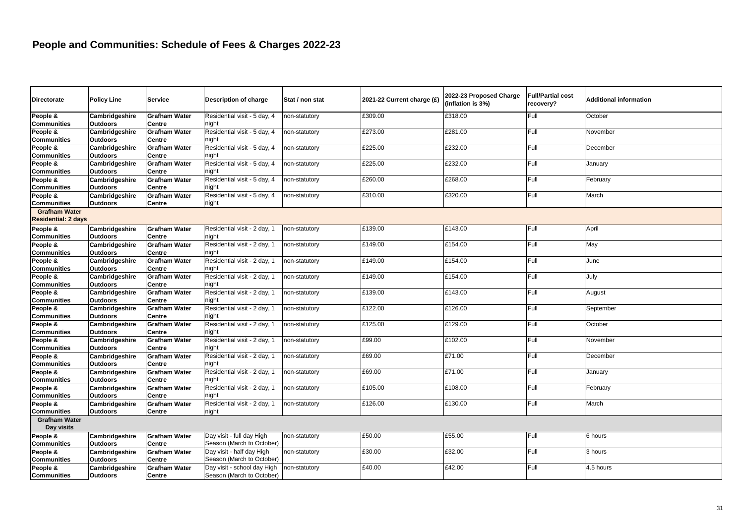| <b>Directorate</b>                 | <b>Policy Line</b> | <b>Service</b>       | Description of charge        | Stat / non stat | 2021-22 Current charge (£) | 2022-23 Proposed Charge<br>(inflation is 3%) | <b>Full/Partial cost</b><br>recoverv? | <b>Additional information</b> |
|------------------------------------|--------------------|----------------------|------------------------------|-----------------|----------------------------|----------------------------------------------|---------------------------------------|-------------------------------|
| People &                           | Cambridgeshire     | <b>Grafham Water</b> | Residential visit - 5 day, 4 | non-statutory   | £309.00                    | £318.00                                      | Full                                  | October                       |
| Communities                        | Outdoors           | <b>Centre</b>        | night                        |                 |                            |                                              |                                       |                               |
| People &                           | Cambridgeshire     | <b>Grafham Water</b> | Residential visit - 5 day, 4 | non-statutory   | £273.00                    | £281.00                                      | Full                                  | November                      |
| <b>Communities</b>                 | Outdoors           | <b>Centre</b>        | night                        |                 |                            |                                              |                                       |                               |
| People &                           | Cambridgeshire     | <b>Grafham Water</b> | Residential visit - 5 day, 4 | non-statutory   | £225.00                    | £232.00                                      | Full                                  | December                      |
| <b>Communities</b>                 | Outdoors           | <b>Centre</b>        | night                        |                 |                            |                                              |                                       |                               |
| People &                           | Cambridgeshire     | <b>Grafham Water</b> | Residential visit - 5 day, 4 | non-statutory   | £225.00                    | £232.00                                      | Full                                  | January                       |
| Communities                        | Outdoors           | <b>Centre</b>        | night                        |                 |                            |                                              |                                       |                               |
| People &                           | Cambridgeshire     | <b>Grafham Water</b> | Residential visit - 5 day, 4 | non-statutory   | £260.00                    | £268.00                                      | Full                                  | February                      |
| Communities                        | <b>Outdoors</b>    | <b>Centre</b>        | night                        |                 |                            |                                              |                                       |                               |
| People &                           | Cambridgeshire     | <b>Grafham Water</b> | Residential visit - 5 day, 4 | non-statutory   | £310.00                    | £320.00                                      | Full                                  | March                         |
| Communities                        | <b>Outdoors</b>    | <b>Centre</b>        | night                        |                 |                            |                                              |                                       |                               |
| <b>Grafham Water</b>               |                    |                      |                              |                 |                            |                                              |                                       |                               |
| <b>Residential: 2 days</b>         |                    |                      |                              |                 |                            |                                              |                                       |                               |
| People &                           | Cambridgeshire     | <b>Grafham Water</b> | Residential visit - 2 day, 1 | non-statutory   | £139.00                    | £143.00                                      | Full                                  | April                         |
| <b>Communities</b>                 | <b>Outdoors</b>    | <b>Centre</b>        | night                        |                 |                            |                                              |                                       |                               |
| People &                           | Cambridgeshire     | <b>Grafham Water</b> | Residential visit - 2 day, 1 | non-statutory   | £149.00                    | £154.00                                      | Full                                  | May                           |
| Communities                        | <b>Outdoors</b>    | <b>Centre</b>        | night                        |                 |                            |                                              |                                       |                               |
| People &                           | Cambridgeshire     | <b>Grafham Water</b> | Residential visit - 2 day, 1 | non-statutory   | £149.00                    | £154.00                                      | Full                                  | June                          |
| <b>Communities</b>                 | <b>Outdoors</b>    | Centre               | night                        |                 |                            |                                              |                                       |                               |
| People &                           | Cambridgeshire     | <b>Grafham Water</b> | Residential visit - 2 day, 1 | non-statutory   | £149.00                    | £154.00                                      | Full                                  | July                          |
| <b>Communities</b>                 | <b>Outdoors</b>    | <b>Centre</b>        | night                        |                 |                            |                                              |                                       |                               |
| People &                           | Cambridgeshire     | <b>Grafham Water</b> | Residential visit - 2 day, 1 | non-statutory   | £139.00                    | £143.00                                      | Full                                  | August                        |
| <b>Communities</b>                 | <b>Outdoors</b>    | Centre               | night                        |                 |                            |                                              |                                       |                               |
| People &                           | Cambridgeshire     | <b>Grafham Water</b> | Residential visit - 2 day, 1 | non-statutory   | £122.00                    | £126.00                                      | Full                                  | September                     |
| Communities                        | <b>Outdoors</b>    | Centre               | night                        |                 |                            |                                              |                                       |                               |
| People &                           | Cambridgeshire     | <b>Grafham Water</b> | Residential visit - 2 day, 1 | non-statutory   | £125.00                    | £129.00                                      | Full                                  | October                       |
| <b>Communities</b>                 | <b>Outdoors</b>    | <b>Centre</b>        | night                        |                 |                            |                                              |                                       |                               |
| People &                           | Cambridgeshire     | <b>Grafham Water</b> | Residential visit - 2 day, 1 | non-statutory   | £99.00                     | £102.00                                      | Full                                  | November                      |
| <b>Communities</b>                 | <b>Outdoors</b>    | <b>Centre</b>        | night                        |                 |                            |                                              |                                       |                               |
| People &                           | Cambridgeshire     | <b>Grafham Water</b> | Residential visit - 2 day, 1 | non-statutory   | £69.00                     | £71.00                                       | Full                                  | December                      |
| <b>Communities</b>                 | Outdoors           | Centre               | night                        |                 |                            |                                              |                                       |                               |
| People &                           | Cambridgeshire     | <b>Grafham Water</b> | Residential visit - 2 day, 1 | non-statutory   | £69.00                     | £71.00                                       | Full                                  | January                       |
| <b>Communities</b>                 | <b>Outdoors</b>    | <b>Centre</b>        | niaht                        |                 |                            |                                              |                                       |                               |
| People &                           | Cambridgeshire     | <b>Grafham Water</b> | Residential visit - 2 day, 1 | non-statutory   | £105.00                    | £108.00                                      | Full                                  | February                      |
| <b>Communities</b>                 | <b>Outdoors</b>    | Centre               | night                        |                 |                            |                                              |                                       |                               |
| People &                           | Cambridgeshire     | <b>Grafham Water</b> | Residential visit - 2 day, 1 | non-statutory   | £126.00                    | £130.00                                      | Full                                  | March                         |
| <b>Communities</b>                 | Outdoors           | Centre               | night                        |                 |                            |                                              |                                       |                               |
| <b>Grafham Water</b><br>Day visits |                    |                      |                              |                 |                            |                                              |                                       |                               |
| People &                           | Cambridgeshire     | <b>Grafham Water</b> | Day visit - full day High    | non-statutory   | £50.00                     | £55.00                                       | Full                                  | 6 hours                       |
| <b>Communities</b>                 | Outdoors           | <b>Centre</b>        | Season (March to October)    |                 |                            |                                              |                                       |                               |
| People &                           | Cambridgeshire     | <b>Grafham Water</b> | Day visit - half day High    | non-statutory   | £30.00                     | £32.00                                       | Full                                  | 3 hours                       |
| <b>Communities</b>                 | Outdoors           | <b>Centre</b>        | Season (March to October)    |                 |                            |                                              |                                       |                               |
| People &                           | Cambridgeshire     | <b>Grafham Water</b> | Day visit - school day High  | non-statutory   | £40.00                     | £42.00                                       | Full                                  | 4.5 hours                     |
| <b>Communities</b>                 | Outdoors           | <b>Centre</b>        | Season (March to October)    |                 |                            |                                              |                                       |                               |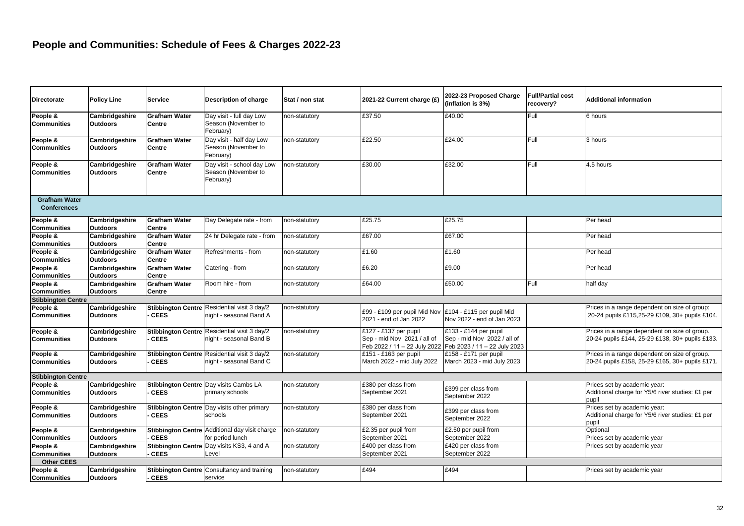| <b>Directorate</b>                         | <b>Policy Line</b>                | <b>Service</b>                 | Description of charge                                                   | Stat / non stat | 2021-22 Current charge (£)                             | 2022-23 Proposed Charge<br>(inflation is 3%)                                                                      | <b>Full/Partial cost</b><br>recovery? | Additional information                                                                           |
|--------------------------------------------|-----------------------------------|--------------------------------|-------------------------------------------------------------------------|-----------------|--------------------------------------------------------|-------------------------------------------------------------------------------------------------------------------|---------------------------------------|--------------------------------------------------------------------------------------------------|
| People &<br><b>Communities</b>             | Cambridgeshire<br><b>Outdoors</b> | <b>Grafham Water</b><br>Centre | Day visit - full day Low<br>Season (November to<br>February)            | non-statutory   | £37.50                                                 | £40.00                                                                                                            | Full                                  | 6 hours                                                                                          |
| People &<br><b>Communities</b>             | Cambridgeshire<br><b>Outdoors</b> | <b>Grafham Water</b><br>Centre | Day visit - half day Low<br>Season (November to<br>February)            | non-statutory   | £22.50                                                 | £24.00                                                                                                            | Full                                  | 3 hours                                                                                          |
| People &<br><b>Communities</b>             | Cambridgeshire<br><b>Outdoors</b> | <b>Grafham Water</b><br>Centre | Day visit - school day Low<br>Season (November to<br>February)          | non-statutory   | £30.00                                                 | £32.00                                                                                                            | Full                                  | 4.5 hours                                                                                        |
| <b>Grafham Water</b><br><b>Conferences</b> |                                   |                                |                                                                         |                 |                                                        |                                                                                                                   |                                       |                                                                                                  |
| People &<br><b>Communities</b>             | Cambridgeshire<br><b>Outdoors</b> | <b>Grafham Water</b><br>Centre | Day Delegate rate - from                                                | non-statutory   | £25.75                                                 | £25.75                                                                                                            |                                       | Per head                                                                                         |
| People &<br><b>Communities</b>             | Cambridgeshire<br><b>Outdoors</b> | <b>Grafham Water</b><br>Centre | 24 hr Delegate rate - from                                              | non-statutory   | £67.00                                                 | £67.00                                                                                                            |                                       | Per head                                                                                         |
| People &<br><b>Communities</b>             | Cambridgeshire<br><b>Outdoors</b> | <b>Grafham Water</b><br>Centre | Refreshments - from                                                     | non-statutory   | £1.60                                                  | £1.60                                                                                                             |                                       | Per head                                                                                         |
| People &<br><b>Communities</b>             | Cambridgeshire<br><b>Outdoors</b> | <b>Grafham Water</b><br>Centre | Catering - from                                                         | non-statutory   | £6.20                                                  | £9.00                                                                                                             |                                       | Per head                                                                                         |
| People &<br><b>Communities</b>             | Cambridgeshire<br><b>Outdoors</b> | <b>Grafham Water</b><br>Centre | Room hire - from                                                        | non-statutory   | £64.00                                                 | £50.00                                                                                                            | Full                                  | half day                                                                                         |
| <b>Stibbington Centre</b>                  |                                   |                                |                                                                         |                 |                                                        |                                                                                                                   |                                       |                                                                                                  |
| People &<br><b>Communities</b>             | Cambridgeshire<br><b>Outdoors</b> | <b>CEES</b>                    | Stibbington Centre Residential visit 3 day/2<br>night - seasonal Band A | non-statutory   | £99 - £109 per pupil Mid Nov<br>2021 - end of Jan 2022 | £104 - £115 per pupil Mid<br>Nov 2022 - end of Jan 2023                                                           |                                       | Prices in a range dependent on size of group:<br>20-24 pupils £115,25-29 £109, 30+ pupils £104.  |
| People &<br><b>Communities</b>             | Cambridgeshire<br><b>Outdoors</b> | <b>CEES</b>                    | Stibbington Centre Residential visit 3 day/2<br>night - seasonal Band B | non-statutory   | £127 - £137 per pupil<br>Sep - mid Nov 2021 / all of   | £133 - £144 per pupil<br>Sep - mid Nov 2022 / all of<br>Feb 2022 / 11 – 22 July 2022 Feb 2023 / 11 – 22 July 2023 |                                       | Prices in a range dependent on size of group.<br>20-24 pupils £144, 25-29 £138, 30+ pupils £133. |
| People &<br><b>Communities</b>             | Cambridgeshire<br><b>Outdoors</b> | <b>CEES</b>                    | Stibbington Centre Residential visit 3 day/2<br>night - seasonal Band C | non-statutory   | £151 - £163 per pupil<br>March 2022 - mid July 2022    | $£158 - £171$ per pupil<br>March 2023 - mid July 2023                                                             |                                       | Prices in a range dependent on size of group.<br>20-24 pupils £158, 25-29 £165, 30+ pupils £171. |
| <b>Stibbington Centre</b>                  |                                   |                                |                                                                         |                 |                                                        |                                                                                                                   |                                       |                                                                                                  |
| People &<br><b>Communities</b>             | Cambridgeshire<br><b>Outdoors</b> | <b>CEES</b>                    | Stibbington Centre Day visits Cambs LA<br>primary schools               | non-statutory   | £380 per class from<br>September 2021                  | £399 per class from<br>September 2022                                                                             |                                       | Prices set by academic year:<br>Additional charge for Y5/6 river studies: £1 per<br>pupil        |
| People &<br><b>Communities</b>             | Cambridgeshire<br><b>Outdoors</b> | <b>CEES</b>                    | Stibbington Centre Day visits other primary<br>schools                  | non-statutory   | £380 per class from<br>September 2021                  | £399 per class from<br>September 2022                                                                             |                                       | Prices set by academic year:<br>Additional charge for Y5/6 river studies: £1 per<br>pupil        |
| People &<br><b>Communities</b>             | Cambridgeshire<br><b>Outdoors</b> | <b>CEES</b>                    | Stibbington Centre Additional day visit charge<br>for period lunch      | non-statutory   | £2.35 per pupil from<br>September 2021                 | £2.50 per pupil from<br>September 2022                                                                            |                                       | Optional<br>Prices set by academic year                                                          |
| People &<br><b>Communities</b>             | Cambridgeshire<br><b>Outdoors</b> | <b>CEES</b>                    | Stibbington Centre Day visits KS3, 4 and A<br>Level                     | non-statutory   | £400 per class from<br>September 2021                  | £420 per class from<br>September 2022                                                                             |                                       | Prices set by academic year                                                                      |
| <b>Other CEES</b>                          |                                   |                                |                                                                         |                 |                                                        |                                                                                                                   |                                       |                                                                                                  |
| People &<br><b>Communities</b>             | Cambridgeshire<br><b>Outdoors</b> | <b>CEES</b>                    | <b>Stibbington Centre Consultancy and training</b><br>service           | non-statutory   | £494                                                   | £494                                                                                                              |                                       | Prices set by academic year                                                                      |